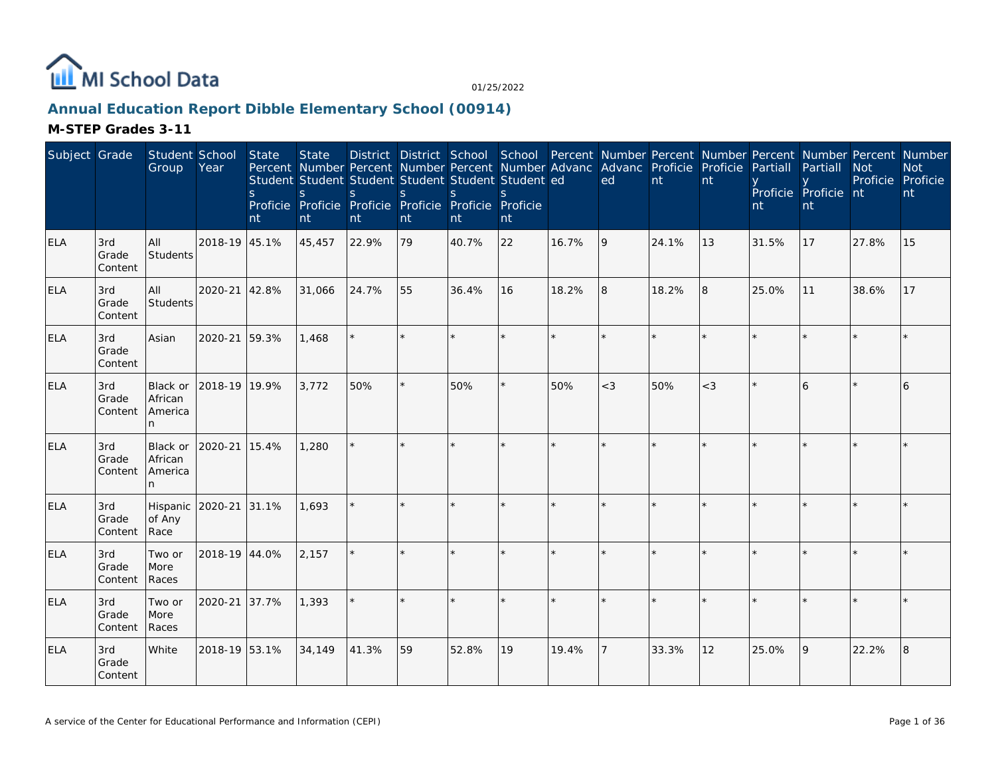

## **Annual Education Report Dibble Elementary School (00914)**

| Subject Grade |                         | Student School<br>Group             | Year          | State<br><sub>S</sub><br>nt | <b>State</b><br>S<br>nt | Student Student Student Student Student Student ed<br>S.<br>Proficie Proficie Proficie Proficie Proficie Proficie<br>nt | <sub>S</sub><br>nt | S.<br>nt | $\mathcal{S}_{\mathcal{S}}$<br>nt |       | District District School School Percent Number Percent Number Percent Number Percent Number<br>Percent Number Percent Number Percent Number Advanc Advanc Proficie Proficie<br>ed | nt    | nt    | Partiall<br>nt | Partiall<br>Proficie Proficie nt<br>nt | <b>Not</b><br>Proficie Proficie | <b>Not</b><br>nt |
|---------------|-------------------------|-------------------------------------|---------------|-----------------------------|-------------------------|-------------------------------------------------------------------------------------------------------------------------|--------------------|----------|-----------------------------------|-------|-----------------------------------------------------------------------------------------------------------------------------------------------------------------------------------|-------|-------|----------------|----------------------------------------|---------------------------------|------------------|
| <b>ELA</b>    | 3rd<br>Grade<br>Content | All<br>Students                     | 2018-19 45.1% |                             | 45,457                  | 22.9%                                                                                                                   | 79                 | 40.7%    | 22                                | 16.7% | 9                                                                                                                                                                                 | 24.1% | 13    | 31.5%          | 17                                     | 27.8%                           | 15               |
| <b>ELA</b>    | 3rd<br>Grade<br>Content | All<br>Students                     | 2020-21       | 42.8%                       | 31,066                  | 24.7%                                                                                                                   | 55                 | 36.4%    | 16                                | 18.2% | 8                                                                                                                                                                                 | 18.2% | 8     | 25.0%          | 11                                     | 38.6%                           | 17               |
| <b>ELA</b>    | 3rd<br>Grade<br>Content | Asian                               | 2020-21       | 59.3%                       | 1,468                   | $\star$                                                                                                                 | ×.                 |          | $\star$                           |       | $\star$                                                                                                                                                                           |       |       |                |                                        |                                 |                  |
| <b>ELA</b>    | 3rd<br>Grade<br>Content | Black or<br>African<br>America<br>n | 2018-19 19.9% |                             | 3,772                   | 50%                                                                                                                     | $\star$            | 50%      | ×.                                | 50%   | $<$ 3                                                                                                                                                                             | 50%   | $<$ 3 |                | 6                                      |                                 | 6                |
| <b>ELA</b>    | 3rd<br>Grade<br>Content | Black or<br>African<br>America<br>n | 2020-21       | 15.4%                       | 1,280                   |                                                                                                                         | $\star$            |          | $\star$                           |       |                                                                                                                                                                                   |       |       |                |                                        |                                 |                  |
| <b>ELA</b>    | 3rd<br>Grade<br>Content | Hispanic<br>of Any<br>Race          | 2020-21       | 31.1%                       | 1,693                   |                                                                                                                         |                    |          | $\star$                           |       |                                                                                                                                                                                   |       |       |                |                                        |                                 |                  |
| <b>ELA</b>    | 3rd<br>Grade<br>Content | Two or<br>More<br>Races             | 2018-19 44.0% |                             | 2,157                   | ÷.                                                                                                                      | $\star$            |          | $\star$                           |       | $\star$                                                                                                                                                                           |       |       |                |                                        |                                 |                  |
| <b>ELA</b>    | 3rd<br>Grade<br>Content | Two or<br>More<br>Races             | 2020-21       | 37.7%                       | 1,393                   |                                                                                                                         |                    |          |                                   |       |                                                                                                                                                                                   |       |       |                |                                        |                                 |                  |
| <b>ELA</b>    | 3rd<br>Grade<br>Content | White                               | 2018-19 53.1% |                             | 34,149                  | 41.3%                                                                                                                   | 59                 | 52.8%    | 19                                | 19.4% |                                                                                                                                                                                   | 33.3% | 12    | 25.0%          | 9                                      | 22.2%                           | 8                |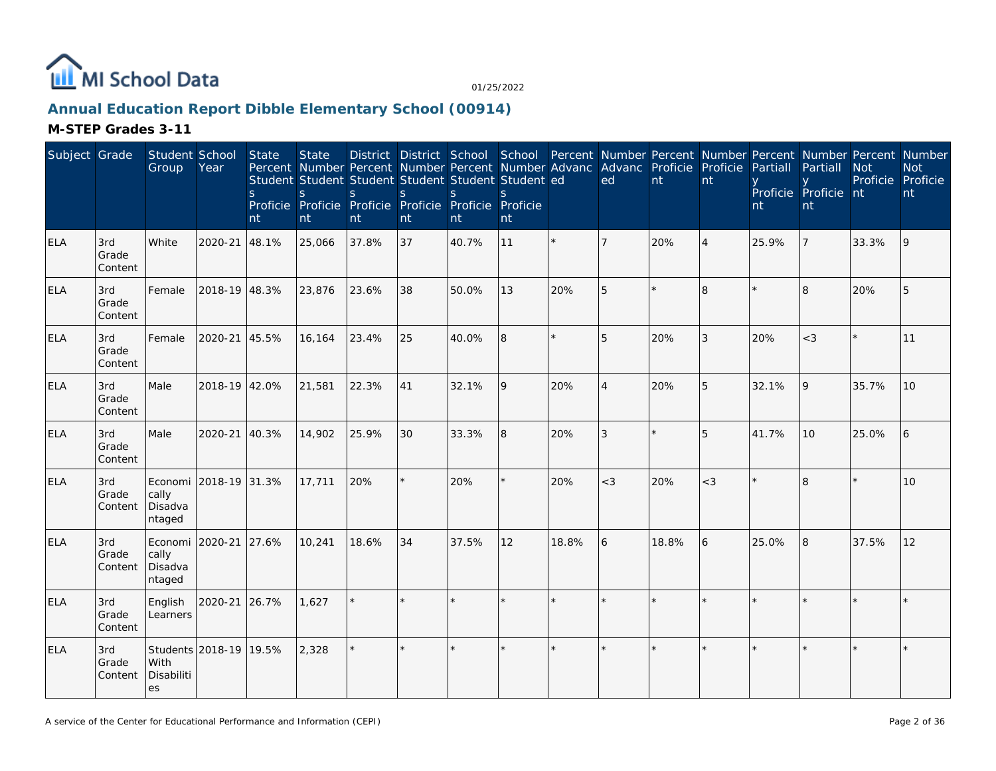

## **Annual Education Report Dibble Elementary School (00914)**

| Subject Grade |                         | Student School<br>Group               | Year                   | State<br><sub>S</sub><br>nt | <b>State</b><br>Percent Number Percent Number Percent Number Advanc<br>Student Student Student Student Student Student ed<br>S<br>Proficie Proficie Proficie Proficie Proficie Proficie<br>nt | <sub>S</sub><br>nt | S<br>nt | S.<br>nt | $\mathcal{S}_{\mathcal{S}}$<br>nt |         | Advanc Proficie<br>ed | nt    | Proficie<br>nt | Partiall<br>nt | District District School School Percent Number Percent Number Percent Number Percent Number<br>Partiall<br>Proficie Proficie nt<br>nt | <b>Not</b><br>Proficie Proficie | <b>Not</b><br>nt |
|---------------|-------------------------|---------------------------------------|------------------------|-----------------------------|-----------------------------------------------------------------------------------------------------------------------------------------------------------------------------------------------|--------------------|---------|----------|-----------------------------------|---------|-----------------------|-------|----------------|----------------|---------------------------------------------------------------------------------------------------------------------------------------|---------------------------------|------------------|
| <b>ELA</b>    | 3rd<br>Grade<br>Content | White                                 | 2020-21                | 48.1%                       | 25,066                                                                                                                                                                                        | 37.8%              | 37      | 40.7%    | 11                                |         | 7                     | 20%   | $\overline{4}$ | 25.9%          |                                                                                                                                       | 33.3%                           | 9                |
| <b>ELA</b>    | 3rd<br>Grade<br>Content | Female                                | 2018-19 48.3%          |                             | 23,876                                                                                                                                                                                        | 23.6%              | 38      | 50.0%    | 13                                | 20%     | 5                     |       | 8              |                | $\overline{8}$                                                                                                                        | 20%                             | 5                |
| <b>ELA</b>    | 3rd<br>Grade<br>Content | Female                                | 2020-21                | 45.5%                       | 16,164                                                                                                                                                                                        | 23.4%              | 25      | 40.0%    | 8                                 |         | 5                     | 20%   | 3              | 20%            | $<$ 3                                                                                                                                 |                                 | 11               |
| <b>ELA</b>    | 3rd<br>Grade<br>Content | Male                                  | 2018-19 42.0%          |                             | 21,581                                                                                                                                                                                        | 22.3%              | 41      | 32.1%    | 9                                 | 20%     | $\overline{4}$        | 20%   | 5              | 32.1%          | $\overline{Q}$                                                                                                                        | 35.7%                           | 10               |
| <b>ELA</b>    | 3rd<br>Grade<br>Content | Male                                  | 2020-21                | 40.3%                       | 14,902                                                                                                                                                                                        | 25.9%              | 30      | 33.3%    | 8                                 | 20%     | 3                     |       | 5              | 41.7%          | 10                                                                                                                                    | 25.0%                           | 6                |
| <b>ELA</b>    | 3rd<br>Grade<br>Content | cally<br>Disadva<br>ntaged            | Economi 2018-19 31.3%  |                             | 17,711                                                                                                                                                                                        | 20%                | $\star$ | 20%      | $\star$                           | 20%     | $<$ 3                 | 20%   | $<$ 3          |                | 8                                                                                                                                     |                                 | 10               |
| <b>ELA</b>    | 3rd<br>Grade<br>Content | Economi<br>cally<br>Disadva<br>ntaged | 2020-21                | 27.6%                       | 10,241                                                                                                                                                                                        | 18.6%              | 34      | 37.5%    | 12                                | 18.8%   | 6                     | 18.8% | 6              | 25.0%          | $\overline{8}$                                                                                                                        | 37.5%                           | 12               |
| <b>ELA</b>    | 3rd<br>Grade<br>Content | English<br>Learners                   | 2020-21                | 26.7%                       | 1,627                                                                                                                                                                                         |                    |         |          | ¥                                 |         |                       |       |                |                |                                                                                                                                       |                                 | $\star$          |
| <b>ELA</b>    | 3rd<br>Grade<br>Content | With<br>Disabiliti<br>es              | Students 2018-19 19.5% |                             | 2,328                                                                                                                                                                                         | $\star$            | $\star$ | $\star$  | $\star$                           | $\star$ | $\star$               |       |                |                |                                                                                                                                       |                                 |                  |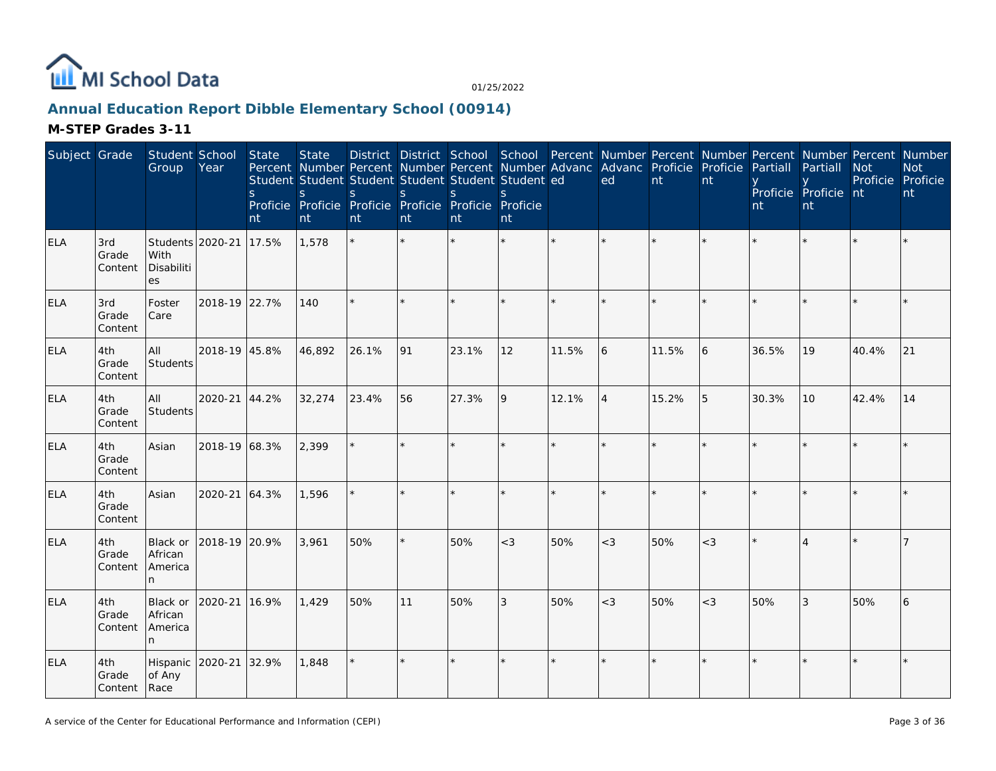

## **Annual Education Report Dibble Elementary School (00914)**

| Subject Grade |                                | Student School<br>Group                      | Year          | <b>State</b><br><sub>S</sub><br>nt | <b>State</b><br>Percent Number Percent Number Percent Number Advanc Advanc Proficie Proficie<br>Student Student Student Student Student Student ed<br><sub>S</sub><br>Proficie Proficie Proficie Proficie Proficie Proficie<br>nt | S.<br>nt | $\mathsf S$<br>nt | <sub>S</sub><br>nt | S<br>nt |              | ed             | $\mathsf{nt}$ | nt    | Partiall<br>nt | District District School School Percent Number Percent Number Percent Number Percent Number<br>Partiall<br>Proficie Proficie nt<br>nt | <b>Not</b><br>Proficie Proficie | <b>Not</b><br>nt |
|---------------|--------------------------------|----------------------------------------------|---------------|------------------------------------|-----------------------------------------------------------------------------------------------------------------------------------------------------------------------------------------------------------------------------------|----------|-------------------|--------------------|---------|--------------|----------------|---------------|-------|----------------|---------------------------------------------------------------------------------------------------------------------------------------|---------------------------------|------------------|
| <b>ELA</b>    | 3rd<br>Grade<br>Content        | Students 2020-21<br>With<br>Disabiliti<br>es |               | 17.5%                              | 1,578                                                                                                                                                                                                                             |          |                   |                    | $\star$ | $\star$      | $\star$        |               |       |                |                                                                                                                                       |                                 |                  |
| <b>ELA</b>    | 3rd<br>Grade<br>Content        | Foster<br>Care                               | 2018-19 22.7% |                                    | 140                                                                                                                                                                                                                               | $\star$  |                   |                    |         |              |                |               |       |                |                                                                                                                                       |                                 |                  |
| <b>ELA</b>    | 4th<br>Grade<br>Content        | All<br>Students                              | 2018-19 45.8% |                                    | 46,892                                                                                                                                                                                                                            | 26.1%    | 91                | 23.1%              | 12      | 11.5%        | 6              | 11.5%         | 6     | 36.5%          | 19                                                                                                                                    | 40.4%                           | 21               |
| <b>ELA</b>    | 4th<br>Grade<br>Content        | All<br>Students                              | 2020-21 44.2% |                                    | 32,274                                                                                                                                                                                                                            | 23.4%    | 56                | 27.3%              | 9       | 12.1%        | $\overline{4}$ | 15.2%         | 5     | 30.3%          | 10                                                                                                                                    | 42.4%                           | 14               |
| <b>ELA</b>    | 4th<br>Grade<br>Content        | Asian                                        | 2018-19 68.3% |                                    | 2,399                                                                                                                                                                                                                             | $\star$  |                   |                    | ×.      |              | $\star$        |               |       |                |                                                                                                                                       |                                 |                  |
| <b>ELA</b>    | 4th<br>Grade<br>Content        | Asian                                        | 2020-21 64.3% |                                    | 1,596                                                                                                                                                                                                                             |          |                   |                    | $\star$ |              |                |               |       |                |                                                                                                                                       |                                 |                  |
| <b>ELA</b>    | 4th<br>Grade<br>Content        | Black or<br>African<br>America<br>n.         | 2018-19 20.9% |                                    | 3.961                                                                                                                                                                                                                             | 50%      |                   | 50%                | $<$ 3   | 50%          | $<$ 3          | 50%           | $<$ 3 |                |                                                                                                                                       |                                 |                  |
| <b>ELA</b>    | 4th<br>Grade<br>Content        | Black or<br>African<br>America<br>n.         | 2020-21       | 16.9%                              | 1,429                                                                                                                                                                                                                             | 50%      | 11                | 50%                | 3       | 50%          | $<$ 3          | 50%           | $<$ 3 | 50%            | 3                                                                                                                                     | 50%                             | 6                |
| <b>ELA</b>    | 4th<br>Grade<br>Content   Race | Hispanic 2020-21<br>of Any                   |               | 32.9%                              | 1,848                                                                                                                                                                                                                             | $\star$  | $\ddot{\psi}$     |                    | ×.      | $\mathbf{d}$ | $\star$        |               |       |                |                                                                                                                                       |                                 |                  |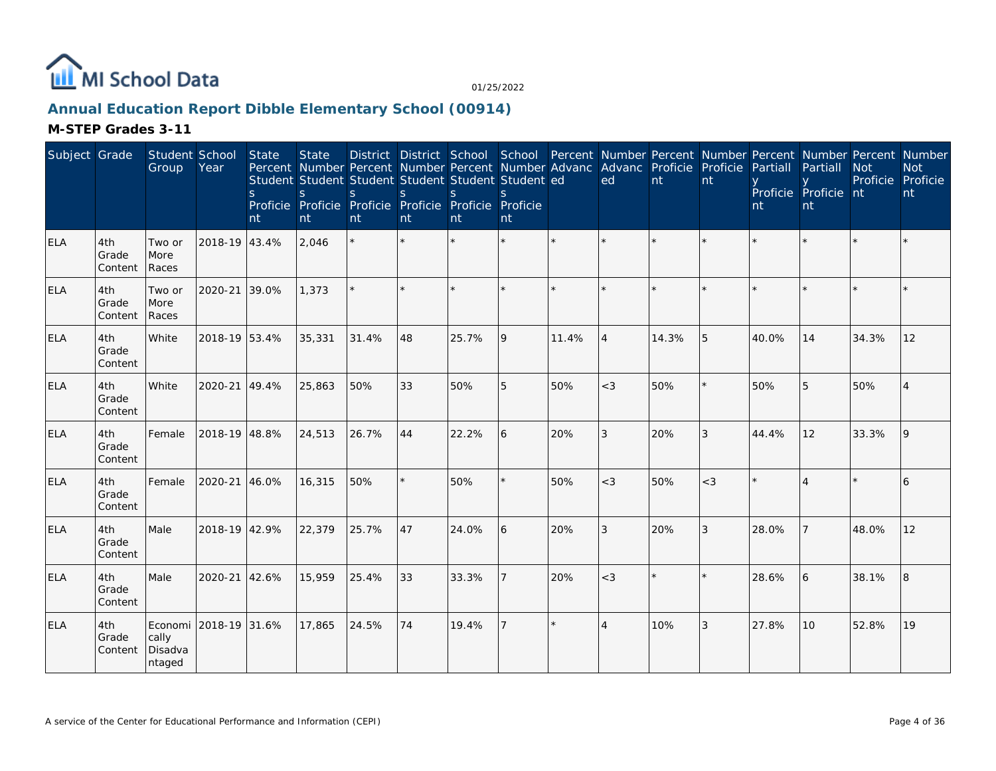

## **Annual Education Report Dibble Elementary School (00914)**

| Subject Grade |                         | Student School<br>Group                             | Year          | <b>State</b><br><sub>S</sub><br>nt | <b>State</b><br>Percent Number Percent Number Percent Number Advanc Advanc Proficie<br>Student Student Student Student Student Student ed<br>S.<br>Proficie Proficie Proficie Proficie Proficie Proficie<br>nt | S.<br>nt | S<br>nt | <sup>S</sup><br>Int | S.<br>nt |         | ed                          | nt    | Proficie<br>nt | Partiall<br>nt | District District School School Percent Number Percent Number Percent Number Percent Number<br>Partiall<br>Proficie Proficie nt<br>nt | <b>Not</b><br>Proficie Proficie | <b>Not</b><br>nt |
|---------------|-------------------------|-----------------------------------------------------|---------------|------------------------------------|----------------------------------------------------------------------------------------------------------------------------------------------------------------------------------------------------------------|----------|---------|---------------------|----------|---------|-----------------------------|-------|----------------|----------------|---------------------------------------------------------------------------------------------------------------------------------------|---------------------------------|------------------|
| <b>ELA</b>    | 4th<br>Grade<br>Content | Two or<br>More<br>Races                             | 2018-19 43.4% |                                    | 2,046                                                                                                                                                                                                          | $\star$  |         |                     | $\star$  | $\star$ | $\star$                     |       |                |                |                                                                                                                                       |                                 |                  |
| <b>ELA</b>    | 4th<br>Grade<br>Content | Two or<br>More<br>Races                             | 2020-21       | 39.0%                              | 1,373                                                                                                                                                                                                          | $\star$  |         |                     | ×.       |         |                             |       |                |                |                                                                                                                                       |                                 |                  |
| <b>ELA</b>    | 4th<br>Grade<br>Content | White                                               | 2018-19 53.4% |                                    | 35,331                                                                                                                                                                                                         | 31.4%    | 48      | 25.7%               | 9        | 11.4%   | $\Delta$                    | 14.3% | 5              | 40.0%          | 14                                                                                                                                    | 34.3%                           | 12               |
| <b>ELA</b>    | 4th<br>Grade<br>Content | White                                               | 2020-21 49.4% |                                    | 25,863                                                                                                                                                                                                         | 50%      | 33      | 50%                 | 5        | 50%     | $<$ 3                       | 50%   |                | 50%            | 5                                                                                                                                     | 50%                             | 4                |
| <b>ELA</b>    | 4th<br>Grade<br>Content | Female                                              | 2018-19 48.8% |                                    | 24,513                                                                                                                                                                                                         | 26.7%    | 44      | 22.2%               | 6        | 20%     | 3                           | 20%   | 3              | 44.4%          | 12                                                                                                                                    | 33.3%                           | 9                |
| <b>ELA</b>    | 4th<br>Grade<br>Content | Female                                              | 2020-21 46.0% |                                    | 16,315                                                                                                                                                                                                         | 50%      |         | 50%                 | $\star$  | 50%     | $<$ 3                       | 50%   | $<$ 3          |                |                                                                                                                                       |                                 | 6                |
| <b>ELA</b>    | 4th<br>Grade<br>Content | Male                                                | 2018-19 42.9% |                                    | 22,379                                                                                                                                                                                                         | 25.7%    | 47      | 24.0%               | 6        | 20%     | $\mathfrak{Z}$              | 20%   | 3              | 28.0%          |                                                                                                                                       | 48.0%                           | 12               |
| <b>ELA</b>    | 4th<br>Grade<br>Content | Male                                                | 2020-21 42.6% |                                    | 15,959                                                                                                                                                                                                         | 25.4%    | 33      | 33.3%               |          | 20%     | $<$ 3                       |       |                | 28.6%          | 6                                                                                                                                     | 38.1%                           | 8                |
| <b>ELA</b>    | 4th<br>Grade<br>Content | Economi 2018-19 31.6%<br>cally<br>Disadva<br>ntaged |               |                                    | 17,865                                                                                                                                                                                                         | 24.5%    | 74      | 19.4%               |          | $\star$ | $\boldsymbol{\vartriangle}$ | 10%   | 3              | 27.8%          | 10                                                                                                                                    | 52.8%                           | 19               |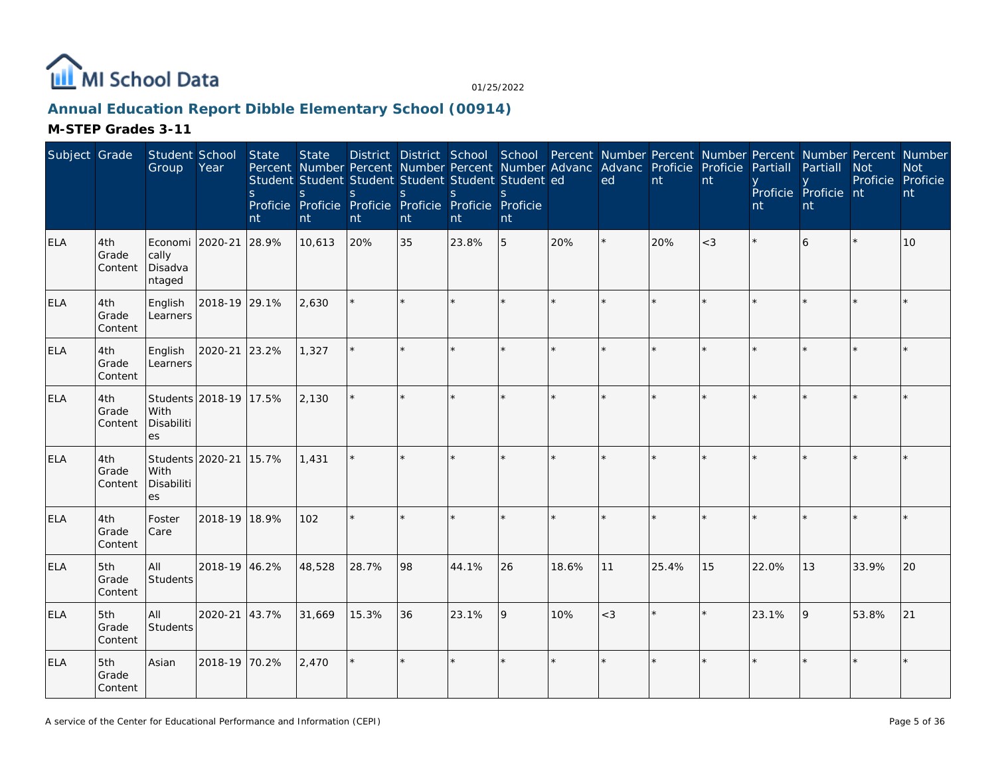

## **Annual Education Report Dibble Elementary School (00914)**

| Subject Grade |                         | Student School<br>Group                       | Year                   | <b>State</b><br><sub>S</sub><br>nt | <b>State</b><br>Percent Number Percent Number Percent Number Advanc Advanc Proficie Proficie<br>Student Student Student Student Student Student ed<br>S<br>Proficie Proficie Proficie Proficie Proficie Proficie<br>nt | <sub>S</sub><br>nt | $\mathsf{S}$<br>nt | <sub>S</sub><br>nt | S<br>nt |         | ed      | $\overline{nt}$ | nt    | Partiall<br>nt | District District School School Percent Number Percent Number Percent Number Percent Number<br>Partiall<br>Proficie Proficie nt<br>nt | <b>Not</b><br>Proficie Proficie | <b>Not</b><br>nt |
|---------------|-------------------------|-----------------------------------------------|------------------------|------------------------------------|------------------------------------------------------------------------------------------------------------------------------------------------------------------------------------------------------------------------|--------------------|--------------------|--------------------|---------|---------|---------|-----------------|-------|----------------|---------------------------------------------------------------------------------------------------------------------------------------|---------------------------------|------------------|
| <b>ELA</b>    | 4th<br>Grade<br>Content | Economi 2020-21<br>cally<br>Disadva<br>ntaged |                        | 28.9%                              | 10,613                                                                                                                                                                                                                 | 20%                | 35                 | 23.8%              | 5       | 20%     |         | 20%             | $<$ 3 |                | 6                                                                                                                                     |                                 | 10               |
| <b>ELA</b>    | 4th<br>Grade<br>Content | English<br>Learners                           | 2018-19 29.1%          |                                    | 2,630                                                                                                                                                                                                                  |                    |                    |                    | ×.      |         | $\star$ |                 |       |                |                                                                                                                                       |                                 |                  |
| <b>ELA</b>    | 4th<br>Grade<br>Content | English<br>Learners                           | 2020-21 23.2%          |                                    | 1,327                                                                                                                                                                                                                  | $\star$            |                    |                    | ×.      |         | $\star$ |                 |       |                |                                                                                                                                       |                                 |                  |
| <b>ELA</b>    | 4th<br>Grade<br>Content | With<br>Disabiliti<br><b>es</b>               | Students 2018-19 17.5% |                                    | 2,130                                                                                                                                                                                                                  | $\star$            | $\star$            |                    | ×.      |         | $\star$ |                 |       |                |                                                                                                                                       |                                 |                  |
| <b>ELA</b>    | 4th<br>Grade<br>Content | Students 2020-21<br>With<br>Disabiliti<br>es  |                        | 15.7%                              | 1,431                                                                                                                                                                                                                  | $\star$            |                    |                    | $\star$ |         |         |                 |       |                |                                                                                                                                       |                                 |                  |
| <b>ELA</b>    | 4th<br>Grade<br>Content | Foster<br>Care                                | 2018-19 18.9%          |                                    | 102                                                                                                                                                                                                                    | $\star$            |                    |                    | ×.      | $\star$ | $\star$ |                 |       |                |                                                                                                                                       |                                 |                  |
| <b>ELA</b>    | 5th<br>Grade<br>Content | All<br>Students                               | 2018-19 46.2%          |                                    | 48,528                                                                                                                                                                                                                 | 28.7%              | 98                 | 44.1%              | 26      | 18.6%   | 11      | 25.4%           | 15    | 22.0%          | 13                                                                                                                                    | 33.9%                           | 20               |
| <b>ELA</b>    | 5th<br>Grade<br>Content | All<br>Students                               | 2020-21 43.7%          |                                    | 31,669                                                                                                                                                                                                                 | 15.3%              | 36                 | 23.1%              | 9       | 10%     | $<$ 3   |                 |       | 23.1%          | 9                                                                                                                                     | 53.8%                           | 21               |
| <b>ELA</b>    | 5th<br>Grade<br>Content | Asian                                         | 2018-19 70.2%          |                                    | 2,470                                                                                                                                                                                                                  | $\star$            |                    |                    | ×.      |         | ×.      |                 |       |                |                                                                                                                                       |                                 |                  |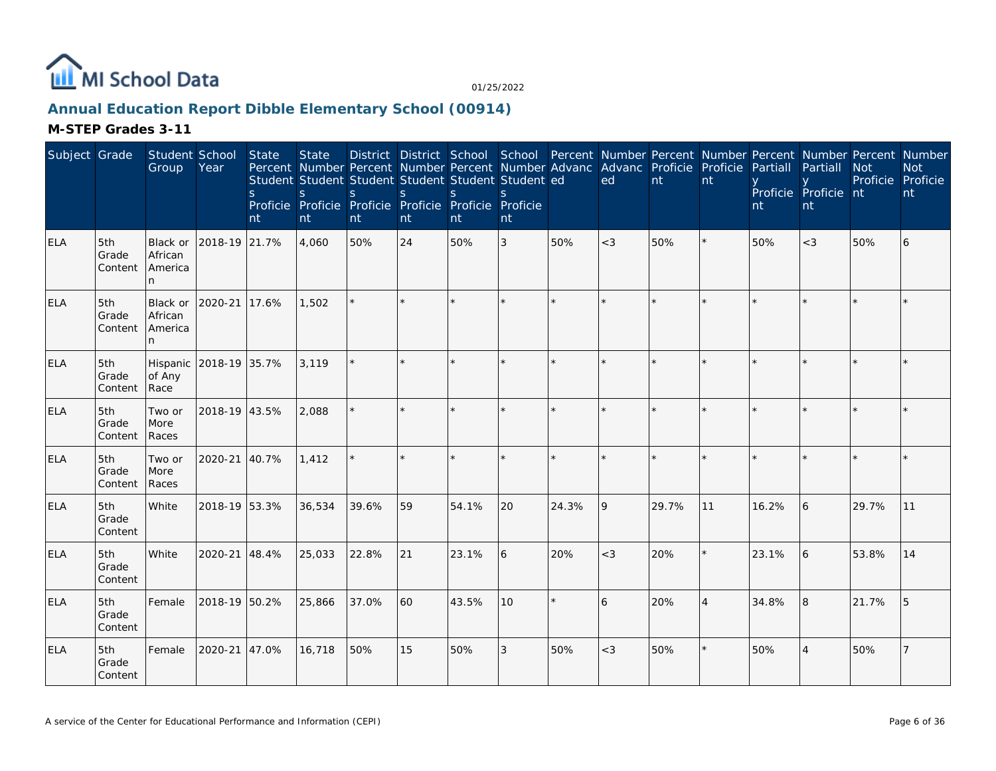

## **Annual Education Report Dibble Elementary School (00914)**

| Subject Grade |                         | Student School<br>Group                  | Year          | <b>State</b><br>S<br>nt | <b>State</b><br>Percent Number Percent Number Percent Number Advanc Advanc Proficie Proficie<br>Student Student Student Student Student Student ed<br>S.<br>Proficie Proficie Proficie Proficie Proficie Proficie<br>nt | S.<br>nt | <sub>S</sub><br>nt | <sub>S</sub><br>nt | <sup>S</sup><br>nt |         | ed      | nt    | nt             | Partiall<br>nt | District District School School Percent Number Percent Number Percent Number Percent Number<br>Partiall<br>Proficie Proficie nt<br>nt | <b>Not</b><br>Proficie Proficie | <b>Not</b><br>nt |
|---------------|-------------------------|------------------------------------------|---------------|-------------------------|-------------------------------------------------------------------------------------------------------------------------------------------------------------------------------------------------------------------------|----------|--------------------|--------------------|--------------------|---------|---------|-------|----------------|----------------|---------------------------------------------------------------------------------------------------------------------------------------|---------------------------------|------------------|
| <b>ELA</b>    | 5th<br>Grade<br>Content | Black or<br>African<br>America<br>n.     | 2018-19 21.7% |                         | 4,060                                                                                                                                                                                                                   | 50%      | 24                 | 50%                | 3                  | 50%     | $<$ 3   | 50%   |                | 50%            | $<$ 3                                                                                                                                 | 50%                             | 6                |
| <b>ELA</b>    | 5th<br>Grade<br>Content | Black or<br>African<br>America<br>n.     | 2020-21       | 17.6%                   | 1,502                                                                                                                                                                                                                   |          |                    |                    |                    |         | $\star$ |       |                |                |                                                                                                                                       |                                 |                  |
| <b>ELA</b>    | 5th<br>Grade<br>Content | Hispanic 2018-19 35.7%<br>of Any<br>Race |               |                         | 3,119                                                                                                                                                                                                                   | $\star$  |                    |                    |                    |         | $\star$ |       |                |                |                                                                                                                                       |                                 |                  |
| <b>ELA</b>    | 5th<br>Grade<br>Content | Two or<br>More<br>Races                  | 2018-19 43.5% |                         | 2,088                                                                                                                                                                                                                   |          |                    |                    |                    |         | $\star$ |       |                |                |                                                                                                                                       |                                 |                  |
| <b>ELA</b>    | 5th<br>Grade<br>Content | Two or<br>More<br>Races                  | 2020-21 40.7% |                         | 1,412                                                                                                                                                                                                                   |          |                    |                    |                    |         |         |       |                |                |                                                                                                                                       |                                 |                  |
| <b>ELA</b>    | 5th<br>Grade<br>Content | White                                    | 2018-19 53.3% |                         | 36,534                                                                                                                                                                                                                  | 39.6%    | 59                 | 54.1%              | 20                 | 24.3%   | 9       | 29.7% | 11             | 16.2%          | 6                                                                                                                                     | 29.7%                           | 11               |
| <b>ELA</b>    | 5th<br>Grade<br>Content | White                                    | 2020-21 48.4% |                         | 25,033                                                                                                                                                                                                                  | 22.8%    | 21                 | 23.1%              | 6                  | 20%     | $<$ 3   | 20%   |                | 23.1%          | 6                                                                                                                                     | 53.8%                           | 14               |
| <b>ELA</b>    | 5th<br>Grade<br>Content | Female                                   | 2018-19 50.2% |                         | 25,866                                                                                                                                                                                                                  | 37.0%    | 60                 | 43.5%              | 10                 | $\star$ | 6       | 20%   | $\overline{4}$ | 34.8%          | l8                                                                                                                                    | 21.7%                           | l 5              |
| <b>ELA</b>    | 5th<br>Grade<br>Content | Female                                   | 2020-21       | 47.0%                   | 16,718                                                                                                                                                                                                                  | 50%      | 15                 | 50%                | 3                  | 50%     | $<$ 3   | 50%   |                | 50%            | $\Delta$                                                                                                                              | 50%                             |                  |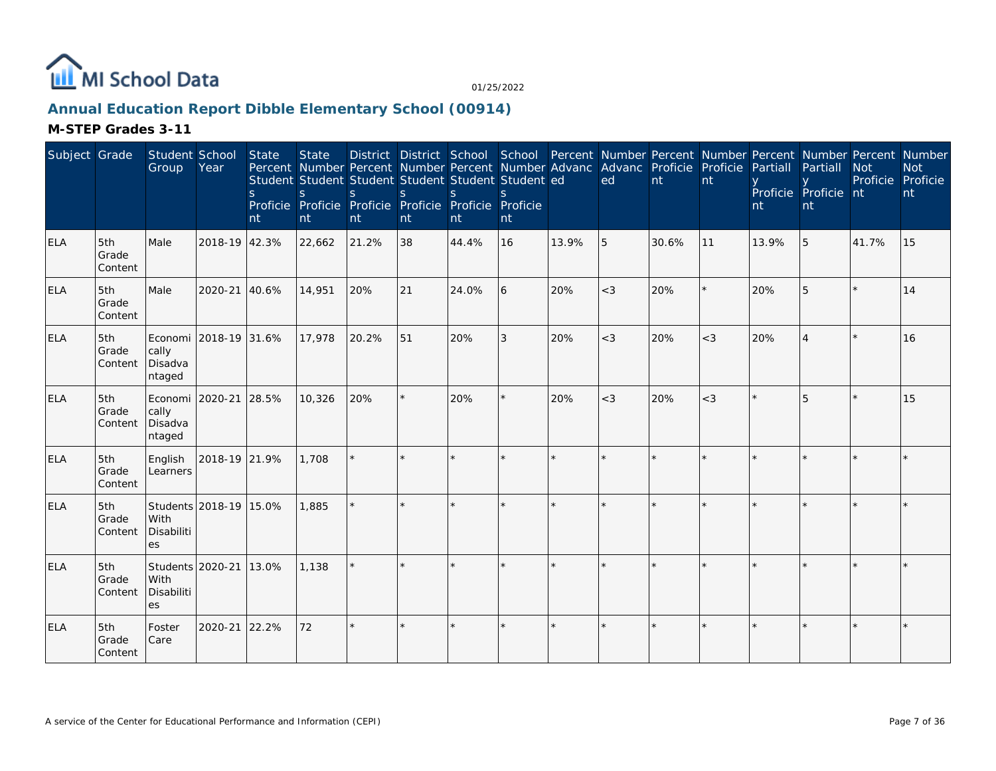

## **Annual Education Report Dibble Elementary School (00914)**

| Subject Grade |                         | Student School<br>Group                      | Year                   | <b>State</b><br><sub>S</sub><br>nt | <b>State</b><br>$\mathsf{S}$<br>nt | Percent Number Percent Number Percent Number Advanc Advanc Proficie Proficie<br>Student Student Student Student Student Student ed<br>S<br>Proficie Proficie Proficie Proficie Proficie Proficie<br>nt | <sub>S</sub><br>nt | <sub>S</sub><br>nt | $\mathbf{S}$<br>nt |         | ed      | nt    | nt    | Partiall<br>nt | District District School School Percent Number Percent Number Percent Number Percent Number<br>Partiall<br>Proficie Proficie nt<br>nt | <b>Not</b><br>Proficie | <b>Not</b><br>Proficie<br>nt |
|---------------|-------------------------|----------------------------------------------|------------------------|------------------------------------|------------------------------------|--------------------------------------------------------------------------------------------------------------------------------------------------------------------------------------------------------|--------------------|--------------------|--------------------|---------|---------|-------|-------|----------------|---------------------------------------------------------------------------------------------------------------------------------------|------------------------|------------------------------|
| <b>ELA</b>    | 5th<br>Grade<br>Content | Male                                         | 2018-19 42.3%          |                                    | 22,662                             | 21.2%                                                                                                                                                                                                  | 38                 | 44.4%              | 16                 | 13.9%   | 5       | 30.6% | 11    | 13.9%          | 5                                                                                                                                     | 41.7%                  | 15                           |
| ELA           | 5th<br>Grade<br>Content | Male                                         | 2020-21                | 40.6%                              | 14,951                             | 20%                                                                                                                                                                                                    | 21                 | 24.0%              | 6                  | 20%     | $<$ 3   | 20%   |       | 20%            | $\sqrt{2}$                                                                                                                            |                        | 14                           |
| <b>ELA</b>    | 5th<br>Grade<br>Content | cally<br>Disadva<br>ntaged                   | Economi 2018-19 31.6%  |                                    | 17,978                             | 20.2%                                                                                                                                                                                                  | 51                 | 20%                | 3                  | 20%     | $<$ 3   | 20%   | $<$ 3 | 20%            |                                                                                                                                       |                        | 16                           |
| <b>ELA</b>    | 5th<br>Grade<br>Content | cally<br>Disadva<br>ntaged                   | Economi 2020-21 28.5%  |                                    | 10,326                             | 20%                                                                                                                                                                                                    |                    | 20%                | $\star$            | 20%     | $<$ 3   | 20%   | $<$ 3 |                | 5                                                                                                                                     |                        | 15                           |
| <b>ELA</b>    | 5th<br>Grade<br>Content | English<br>Learners                          | 2018-19 21.9%          |                                    | 1,708                              |                                                                                                                                                                                                        |                    |                    |                    |         |         |       |       |                |                                                                                                                                       |                        |                              |
| <b>ELA</b>    | 5th<br>Grade<br>Content | With<br>Disabiliti<br>es                     | Students 2018-19 15.0% |                                    | 1,885                              | $\star$                                                                                                                                                                                                |                    |                    | $\star$            | $\star$ | $\star$ |       |       |                |                                                                                                                                       |                        |                              |
| <b>ELA</b>    | 5th<br>Grade<br>Content | Students 2020-21<br>With<br>Disabiliti<br>es |                        | 13.0%                              | 1,138                              |                                                                                                                                                                                                        |                    |                    |                    |         |         |       |       |                |                                                                                                                                       |                        |                              |
| <b>ELA</b>    | 5th<br>Grade<br>Content | Foster<br>Care                               | 2020-21                | 22.2%                              | 72                                 | $\star$                                                                                                                                                                                                |                    |                    | $\star$            |         |         |       |       |                |                                                                                                                                       |                        |                              |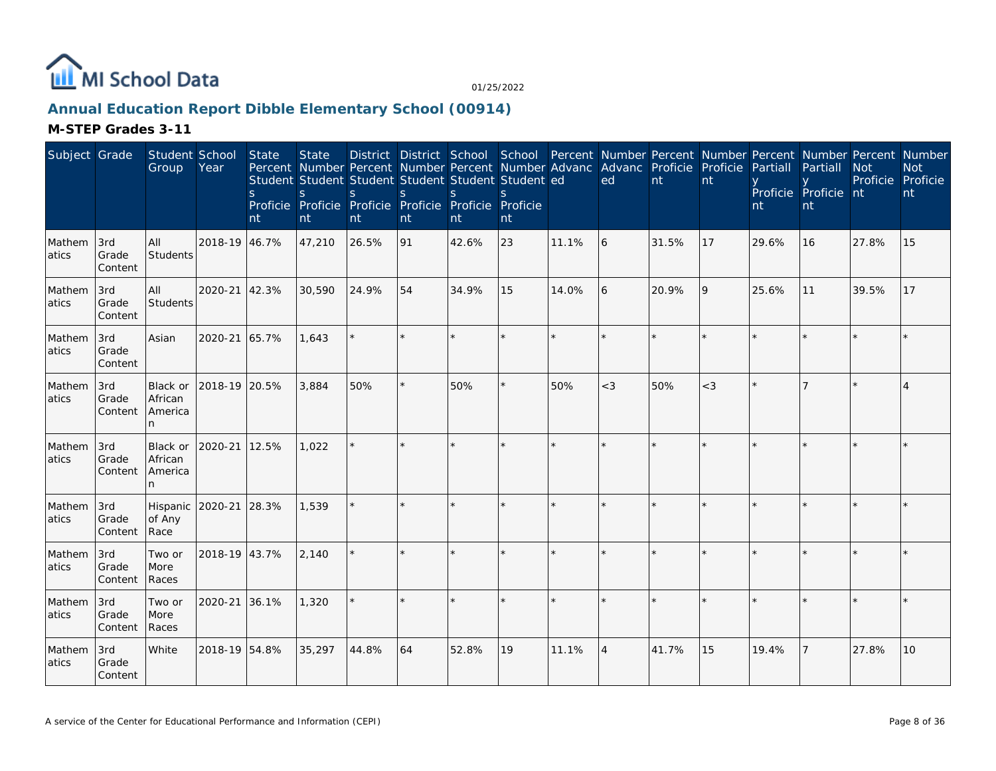

## **Annual Education Report Dibble Elementary School (00914)**

| Subject Grade   |                         | Student School<br>Group             | Year          | State<br>S.<br>nt | <b>State</b><br>Student Student Student Student Student Student ed<br>S.<br>Proficie Proficie Proficie Proficie Proficie Proficie<br>nt | S.<br>nt | <sub>S</sub><br>nt | S.<br>nt | S.<br>nt |       | District District School School Percent Number Percent Number Percent Number Percent Number<br>Percent Number Percent Number Percent Number Advanc Advanc Proficie Proficie<br>ed | nt    | nt    | Partiall<br>nt | Partiall<br>Proficie Proficie nt<br>nt | <b>Not</b><br>Proficie Proficie | <b>Not</b><br>nt |
|-----------------|-------------------------|-------------------------------------|---------------|-------------------|-----------------------------------------------------------------------------------------------------------------------------------------|----------|--------------------|----------|----------|-------|-----------------------------------------------------------------------------------------------------------------------------------------------------------------------------------|-------|-------|----------------|----------------------------------------|---------------------------------|------------------|
| Mathem<br>atics | 3rd<br>Grade<br>Content | All<br>Students                     | 2018-19 46.7% |                   | 47,210                                                                                                                                  | 26.5%    | 91                 | 42.6%    | 23       | 11.1% | 16                                                                                                                                                                                | 31.5% | 17    | 29.6%          | 16                                     | 27.8%                           | 15               |
| Mathem<br>atics | 3rd<br>Grade<br>Content | All<br>Students                     | 2020-21 42.3% |                   | 30,590                                                                                                                                  | 24.9%    | 54                 | 34.9%    | 15       | 14.0% | 6                                                                                                                                                                                 | 20.9% | 9     | 25.6%          | 11                                     | 39.5%                           | 17               |
| Mathem<br>atics | 3rd<br>Grade<br>Content | Asian                               | 2020-21 65.7% |                   | 1,643                                                                                                                                   |          | $\star$            |          |          |       |                                                                                                                                                                                   | ÷.    |       |                |                                        |                                 |                  |
| Mathem<br>atics | 3rd<br>Grade<br>Content | Black or<br>African<br>America<br>n | 2018-19 20.5% |                   | 3,884                                                                                                                                   | 50%      |                    | 50%      |          | 50%   | $<$ 3                                                                                                                                                                             | 50%   | $<$ 3 |                |                                        |                                 |                  |
| Mathem<br>atics | 3rd<br>Grade<br>Content | Black or<br>African<br>America<br>n | 2020-21 12.5% |                   | 1,022                                                                                                                                   |          |                    |          |          |       |                                                                                                                                                                                   |       |       |                |                                        |                                 |                  |
| Mathem<br>atics | 3rd<br>Grade<br>Content | Hispanic<br>of Any<br>Race          | 2020-21       | 28.3%             | 1,539                                                                                                                                   |          |                    |          |          |       |                                                                                                                                                                                   |       |       |                |                                        |                                 |                  |
| Mathem<br>atics | 3rd<br>Grade<br>Content | Two or<br>More<br>Races             | 2018-19 43.7% |                   | 2,140                                                                                                                                   |          |                    |          |          |       |                                                                                                                                                                                   |       |       |                |                                        |                                 |                  |
| Mathem<br>atics | 3rd<br>Grade<br>Content | Two or<br>More<br>Races             | 2020-21 36.1% |                   | 1,320                                                                                                                                   |          |                    |          |          |       |                                                                                                                                                                                   |       |       |                |                                        |                                 |                  |
| Mathem<br>atics | 3rd<br>Grade<br>Content | White                               | 2018-19 54.8% |                   | 35,297                                                                                                                                  | 44.8%    | 64                 | 52.8%    | 19       | 11.1% | $\overline{4}$                                                                                                                                                                    | 41.7% | 15    | 19.4%          |                                        | 27.8%                           | 10               |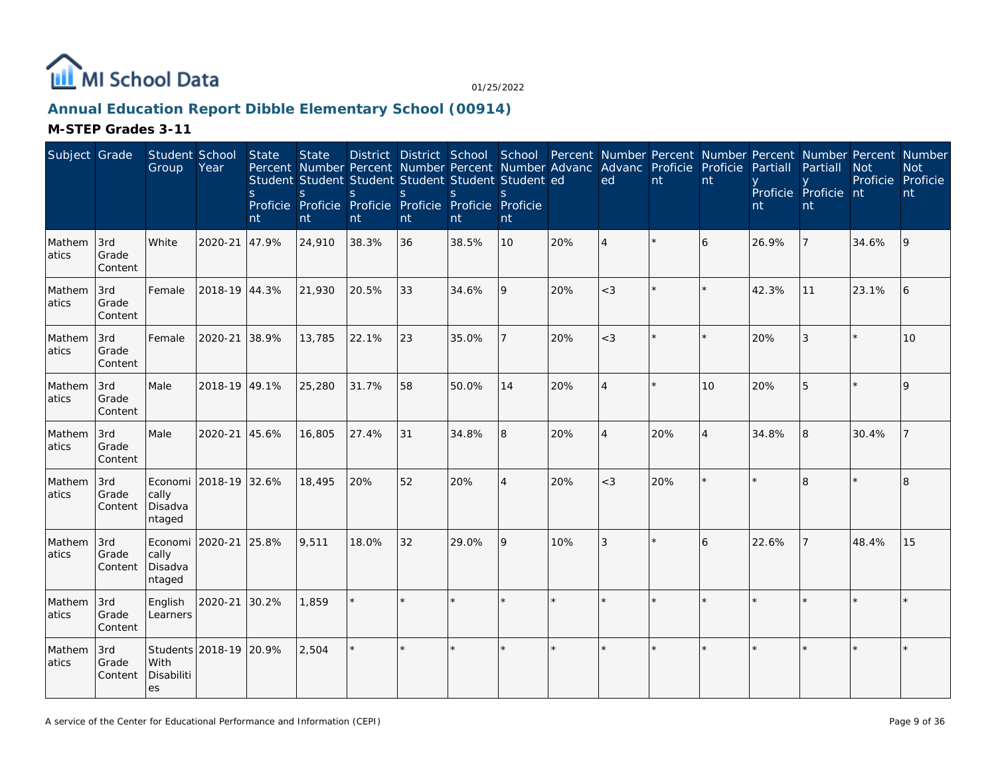

## **Annual Education Report Dibble Elementary School (00914)**

| Subject Grade   |                         | Student School<br>Group                       | Year                   | State<br>S.<br>nt | <b>State</b><br>Percent Number Percent Number Percent Number Advanc<br>Student Student Student Student Student Student ed<br>S<br>Proficie Proficie Proficie Proficie Proficie Proficie<br>nt | <sub>S</sub><br>nt | S<br>nt | <sub>S</sub><br>nt | S.<br>nt       |     | District District School School Percent Number Percent Number Percent Number Percent Number<br>Advanc Proficie Proficie<br>ed | nt      | nt             | Partiall<br>nt | Partiall<br>Proficie Proficie nt<br>nt | <b>Not</b><br>Proficie Proficie | <b>Not</b><br>nt |
|-----------------|-------------------------|-----------------------------------------------|------------------------|-------------------|-----------------------------------------------------------------------------------------------------------------------------------------------------------------------------------------------|--------------------|---------|--------------------|----------------|-----|-------------------------------------------------------------------------------------------------------------------------------|---------|----------------|----------------|----------------------------------------|---------------------------------|------------------|
| Mathem<br>atics | 3rd<br>Grade<br>Content | White                                         | 2020-21                | 47.9%             | 24,910                                                                                                                                                                                        | 38.3%              | 36      | 38.5%              | 10             | 20% | $\overline{4}$                                                                                                                |         | 6              | 26.9%          |                                        | 34.6%                           | 9                |
| Mathem<br>atics | 3rd<br>Grade<br>Content | Female                                        | 2018-19 44.3%          |                   | 21,930                                                                                                                                                                                        | 20.5%              | 33      | 34.6%              | 9              | 20% | $<$ 3                                                                                                                         |         |                | 42.3%          | 11                                     | 23.1%                           | 16               |
| Mathem<br>atics | 3rd<br>Grade<br>Content | Female                                        | 2020-21                | 38.9%             | 13,785                                                                                                                                                                                        | 22.1%              | 23      | 35.0%              |                | 20% | $<$ 3                                                                                                                         |         |                | 20%            | 3                                      |                                 | 10               |
| Mathem<br>atics | 3rd<br>Grade<br>Content | Male                                          | 2018-19 49.1%          |                   | 25,280                                                                                                                                                                                        | 31.7%              | 58      | 50.0%              | 14             | 20% | $\overline{4}$                                                                                                                | $\star$ | 10             | 20%            | 5                                      |                                 | 9                |
| Mathem<br>atics | 3rd<br>Grade<br>Content | Male                                          | 2020-21                | 45.6%             | 16,805                                                                                                                                                                                        | 27.4%              | 31      | 34.8%              | 8              | 20% | $\overline{4}$                                                                                                                | 20%     | $\overline{4}$ | 34.8%          | 8                                      | 30.4%                           |                  |
| Mathem<br>atics | 3rd<br>Grade<br>Content | cally<br>Disadva<br>ntaged                    | Economi 2018-19 32.6%  |                   | 18,495                                                                                                                                                                                        | 20%                | 52      | 20%                | $\overline{4}$ | 20% | $<$ 3                                                                                                                         | 20%     |                |                | 8                                      |                                 | 8                |
| Mathem<br>atics | 3rd<br>Grade<br>Content | Economi 2020-21<br>cally<br>Disadva<br>ntaged |                        | 25.8%             | 9,511                                                                                                                                                                                         | 18.0%              | 32      | 29.0%              | 9              | 10% | 3                                                                                                                             |         | 6              | 22.6%          |                                        | 48.4%                           | 15               |
| Mathem<br>atics | 3rd<br>Grade<br>Content | English<br>Learners                           | 2020-21                | 30.2%             | 1,859                                                                                                                                                                                         |                    |         |                    |                |     |                                                                                                                               |         |                |                |                                        |                                 | $\star$          |
| Mathem<br>atics | 3rd<br>Grade<br>Content | With<br>Disabiliti<br>es                      | Students 2018-19 20.9% |                   | 2,504                                                                                                                                                                                         | $\star$            | $\star$ |                    |                |     |                                                                                                                               |         |                |                |                                        |                                 |                  |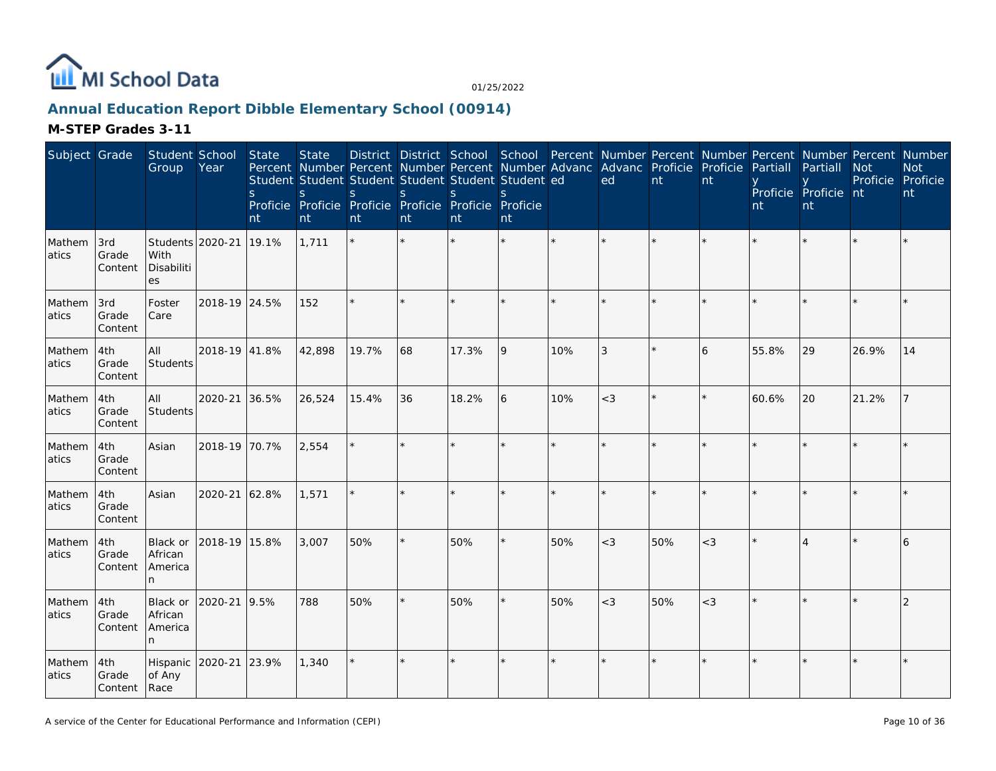

## **Annual Education Report Dibble Elementary School (00914)**

| Subject Grade   |                              | Student School<br>Group                      | Year          | State<br><sub>S</sub><br>nt | <b>State</b><br>Percent Number Percent Number Percent Number Advanc Advanc Proficie Proficie<br>Student Student Student Student Student Student ed<br>S<br>Proficie Proficie Proficie Proficie Proficie Proficie<br>nt | <sub>S</sub><br>nt | S<br>nt | S<br>nt | <sub>S</sub><br>nt |     | ed             | $\overline{nt}$ | nt    | Partiall<br>nt | District District School School Percent Number Percent Number Percent Number Percent Number<br>Partiall<br>Proficie Proficie nt<br>nt | <b>Not</b><br>Proficie Proficie | <b>Not</b><br>nt |
|-----------------|------------------------------|----------------------------------------------|---------------|-----------------------------|------------------------------------------------------------------------------------------------------------------------------------------------------------------------------------------------------------------------|--------------------|---------|---------|--------------------|-----|----------------|-----------------|-------|----------------|---------------------------------------------------------------------------------------------------------------------------------------|---------------------------------|------------------|
| Mathem<br>atics | 3rd<br>Grade<br>Content      | Students 2020-21<br>With<br>Disabiliti<br>es |               | 19.1%                       | 1,711                                                                                                                                                                                                                  |                    |         |         |                    |     |                |                 |       |                |                                                                                                                                       |                                 |                  |
| Mathem<br>atics | 3rd<br>Grade<br>Content      | Foster<br>Care                               | 2018-19 24.5% |                             | 152                                                                                                                                                                                                                    | $\star$            |         |         |                    |     |                |                 |       |                |                                                                                                                                       |                                 |                  |
| Mathem<br>atics | 4th<br>Grade<br>Content      | All<br>Students                              | 2018-19 41.8% |                             | 42,898                                                                                                                                                                                                                 | 19.7%              | 68      | 17.3%   | 9                  | 10% | $\mathfrak{Z}$ |                 | 6     | 55.8%          | 29                                                                                                                                    | 26.9%                           | 14               |
| Mathem<br>atics | 4th<br>Grade<br>Content      | All<br>Students                              | 2020-21       | 36.5%                       | 26,524                                                                                                                                                                                                                 | 15.4%              | 36      | 18.2%   | 6                  | 10% | $<$ 3          |                 |       | 60.6%          | 20                                                                                                                                    | 21.2%                           |                  |
| Mathem<br>atics | 4th<br>Grade<br>Content      | Asian                                        | 2018-19 70.7% |                             | 2,554                                                                                                                                                                                                                  | ÷.                 | ×.      |         |                    |     |                |                 |       |                |                                                                                                                                       |                                 |                  |
| Mathem<br>atics | 4th<br>Grade<br>Content      | Asian                                        | 2020-21       | 62.8%                       | 1,571                                                                                                                                                                                                                  | $\star$            |         |         |                    |     |                |                 |       |                |                                                                                                                                       |                                 |                  |
| Mathem<br>atics | 4th<br>Grade<br>Content      | Black or<br>African<br>America<br>n.         | 2018-19 15.8% |                             | 3.007                                                                                                                                                                                                                  | 50%                | $\star$ | 50%     | $\star$            | 50% | $<$ 3          | 50%             | $<$ 3 |                |                                                                                                                                       |                                 | 6                |
| Mathem<br>atics | 4th<br>Grade<br>Content      | Black or<br>African<br>America<br>n.         | 2020-21       | 9.5%                        | 788                                                                                                                                                                                                                    | 50%                |         | 50%     | ×.                 | 50% | $<$ 3          | 50%             | $<$ 3 |                |                                                                                                                                       |                                 | 2                |
| Mathem<br>atics | 4th<br>Grade<br>Content Race | Hispanic<br>of Any                           | 2020-21       | 23.9%                       | 1,340                                                                                                                                                                                                                  |                    |         |         |                    |     |                |                 |       |                |                                                                                                                                       |                                 |                  |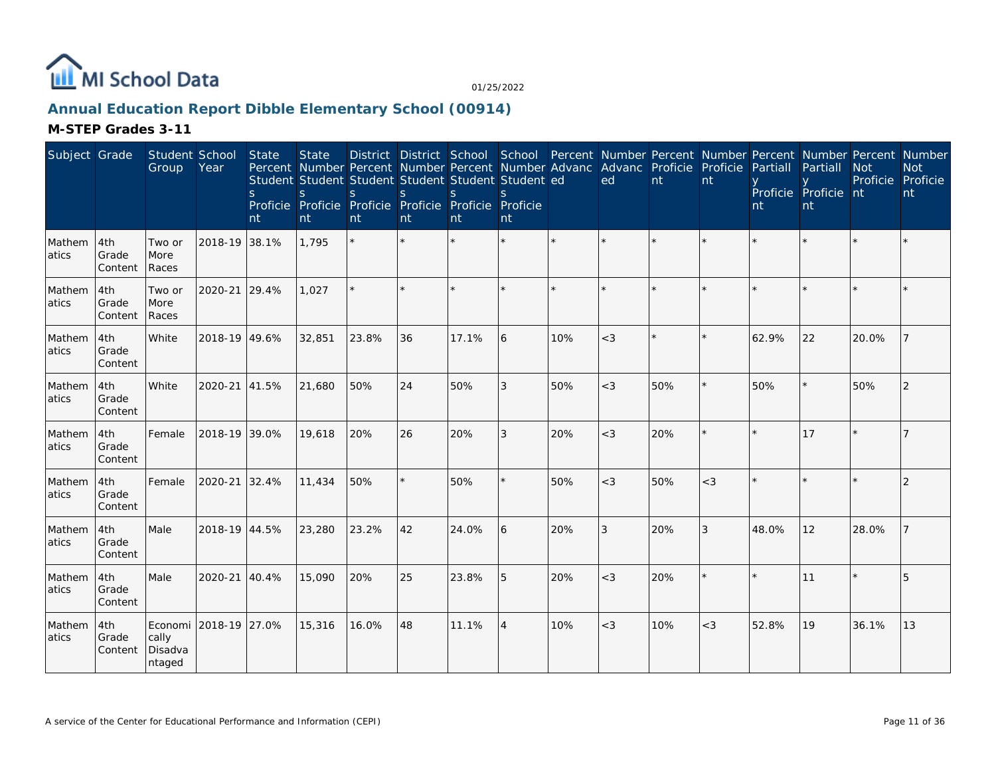

## **Annual Education Report Dibble Elementary School (00914)**

| Subject Grade   |                         | Student School<br>Group    | Year                  | State<br>S<br>nt | <b>State</b><br><sub>S</sub><br>nt | Percent Number Percent Number Percent Number Advanc Advanc Proficie Proficie<br>Student Student Student Student Student Student ed<br><sub>S</sub><br>Proficie Proficie Proficie Proficie Proficie Proficie<br>nt | <sub>S</sub><br>nt | S.<br>nt | $\mathcal{S}_{\mathcal{S}}$<br>nt |     | District District School School Percent Number Percent Number Percent Number Percent Number<br>ed | nt  | nt    | Partiall<br>nt | Partiall<br>Proficie Proficie nt<br>nt | <b>Not</b><br>Proficie | <b>Not</b><br>Proficie<br>nt |
|-----------------|-------------------------|----------------------------|-----------------------|------------------|------------------------------------|-------------------------------------------------------------------------------------------------------------------------------------------------------------------------------------------------------------------|--------------------|----------|-----------------------------------|-----|---------------------------------------------------------------------------------------------------|-----|-------|----------------|----------------------------------------|------------------------|------------------------------|
| Mathem<br>atics | 4th<br>Grade<br>Content | Two or<br>More<br>Races    | 2018-19 38.1%         |                  | 1,795                              |                                                                                                                                                                                                                   |                    |          | $\star$                           |     | $\star$                                                                                           |     |       |                |                                        |                        |                              |
| Mathem<br>atics | 4th<br>Grade<br>Content | Two or<br>More<br>Races    | 2020-21               | 29.4%            | 1,027                              |                                                                                                                                                                                                                   |                    |          | ×.                                |     |                                                                                                   |     |       |                |                                        |                        |                              |
| Mathem<br>atics | 4th<br>Grade<br>Content | White                      | 2018-19 49.6%         |                  | 32,851                             | 23.8%                                                                                                                                                                                                             | 36                 | 17.1%    | 6                                 | 10% | $<$ 3                                                                                             |     |       | 62.9%          | 22                                     | 20.0%                  |                              |
| Mathem<br>atics | 4th<br>Grade<br>Content | White                      | 2020-21               | 41.5%            | 21,680                             | 50%                                                                                                                                                                                                               | 24                 | 50%      | 3                                 | 50% | $<$ 3                                                                                             | 50% |       | 50%            |                                        | 50%                    | 2                            |
| Mathem<br>atics | 4th<br>Grade<br>Content | Female                     | 2018-19 39.0%         |                  | 19,618                             | 20%                                                                                                                                                                                                               | 26                 | 20%      | 3                                 | 20% | $<$ 3                                                                                             | 20% |       |                | 17                                     |                        |                              |
| Mathem<br>atics | 4th<br>Grade<br>Content | Female                     | 2020-21               | 32.4%            | 11,434                             | 50%                                                                                                                                                                                                               |                    | 50%      | ×.                                | 50% | $<$ 3                                                                                             | 50% | $<$ 3 |                |                                        |                        | 2                            |
| Mathem<br>atics | 4th<br>Grade<br>Content | Male                       | 2018-19 44.5%         |                  | 23,280                             | 23.2%                                                                                                                                                                                                             | 42                 | 24.0%    | 6                                 | 20% | 3                                                                                                 | 20% | 3     | 48.0%          | 12                                     | 28.0%                  |                              |
| Mathem<br>atics | 4th<br>Grade<br>Content | Male                       | 2020-21               | 40.4%            | 15,090                             | 20%                                                                                                                                                                                                               | 25                 | 23.8%    | 5                                 | 20% | $<$ 3                                                                                             | 20% |       |                | 11                                     |                        | 5                            |
| Mathem<br>atics | 4th<br>Grade<br>Content | cally<br>Disadva<br>ntaged | Economi 2018-19 27.0% |                  | 15,316                             | 16.0%                                                                                                                                                                                                             | 48                 | 11.1%    | $\overline{4}$                    | 10% | $<$ 3                                                                                             | 10% | $<$ 3 | 52.8%          | 19                                     | 36.1%                  | 13                           |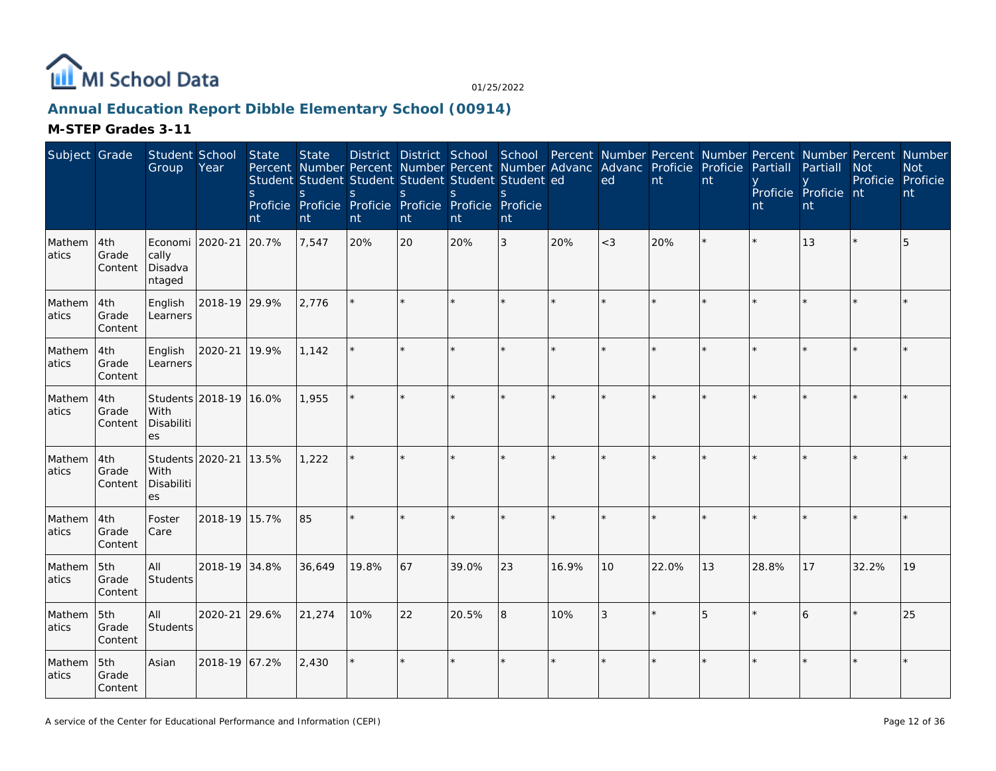

## **Annual Education Report Dibble Elementary School (00914)**

| Subject Grade   |                         | Student School<br>Group                      | Year                   | State<br><sub>S</sub><br>nt | <b>State</b><br>Percent Number Percent Number Percent Number Advanc Advanc Proficie Proficie<br>Student Student Student Student Student Student ed<br>S<br>Proficie Proficie Proficie Proficie Proficie Proficie<br>nt | <sub>S</sub><br>nt | S<br>nt | <sub>S</sub><br>nt | S<br>nt |         | ed      | nt      | nt | Partiall<br>nt | District District School School Percent Number Percent Number Percent Number Percent Number<br>Partiall<br>Proficie Proficie nt<br>nt | <b>Not</b><br>Proficie Proficie | <b>Not</b><br>nt |
|-----------------|-------------------------|----------------------------------------------|------------------------|-----------------------------|------------------------------------------------------------------------------------------------------------------------------------------------------------------------------------------------------------------------|--------------------|---------|--------------------|---------|---------|---------|---------|----|----------------|---------------------------------------------------------------------------------------------------------------------------------------|---------------------------------|------------------|
| Mathem<br>atics | 4th<br>Grade<br>Content | Economi<br>cally<br>Disadva<br>ntaged        | 2020-21                | 20.7%                       | 7,547                                                                                                                                                                                                                  | 20%                | 20      | 20%                | 3       | 20%     | $<$ 3   | 20%     |    |                | 13                                                                                                                                    |                                 | 5                |
| Mathem<br>atics | 4th<br>Grade<br>Content | English<br>Learners                          | 2018-19 29.9%          |                             | 2,776                                                                                                                                                                                                                  |                    |         |                    |         |         | $\star$ |         |    |                |                                                                                                                                       |                                 |                  |
| Mathem<br>atics | 4th<br>Grade<br>Content | English<br>Learners                          | 2020-21                | 19.9%                       | 1,142                                                                                                                                                                                                                  | ÷.                 | $\star$ | $\star$            | ×.      | $\star$ | $\star$ |         |    |                |                                                                                                                                       |                                 |                  |
| Mathem<br>atics | 4th<br>Grade<br>Content | With<br>Disabiliti<br>es                     | Students 2018-19 16.0% |                             | 1,955                                                                                                                                                                                                                  |                    |         |                    | ×.      |         | ×.      |         |    |                |                                                                                                                                       |                                 |                  |
| Mathem<br>atics | 4th<br>Grade<br>Content | Students 2020-21<br>With<br>Disabiliti<br>es |                        | 13.5%                       | 1,222                                                                                                                                                                                                                  |                    |         |                    | $\star$ |         |         |         |    |                |                                                                                                                                       |                                 |                  |
| Mathem<br>atics | 4th<br>Grade<br>Content | Foster<br>Care                               | 2018-19 15.7%          |                             | 85                                                                                                                                                                                                                     |                    |         |                    | ×.      |         | $\star$ | $\star$ |    |                |                                                                                                                                       |                                 |                  |
| Mathem<br>atics | 5th<br>Grade<br>Content | All<br>Students                              | 2018-19 34.8%          |                             | 36,649                                                                                                                                                                                                                 | 19.8%              | 67      | 39.0%              | 23      | 16.9%   | 10      | 22.0%   | 13 | 28.8%          | 17                                                                                                                                    | 32.2%                           | 19               |
| Mathem<br>atics | 5th<br>Grade<br>Content | All<br>Students                              | 2020-21                | 29.6%                       | 21,274                                                                                                                                                                                                                 | 10%                | 22      | 20.5%              | 8       | 10%     | 3       | $\star$ | 5  |                | 6                                                                                                                                     |                                 | 25               |
| Mathem<br>atics | 5th<br>Grade<br>Content | Asian                                        | 2018-19 67.2%          |                             | 2,430                                                                                                                                                                                                                  |                    |         |                    | ×.      |         |         |         |    |                |                                                                                                                                       |                                 |                  |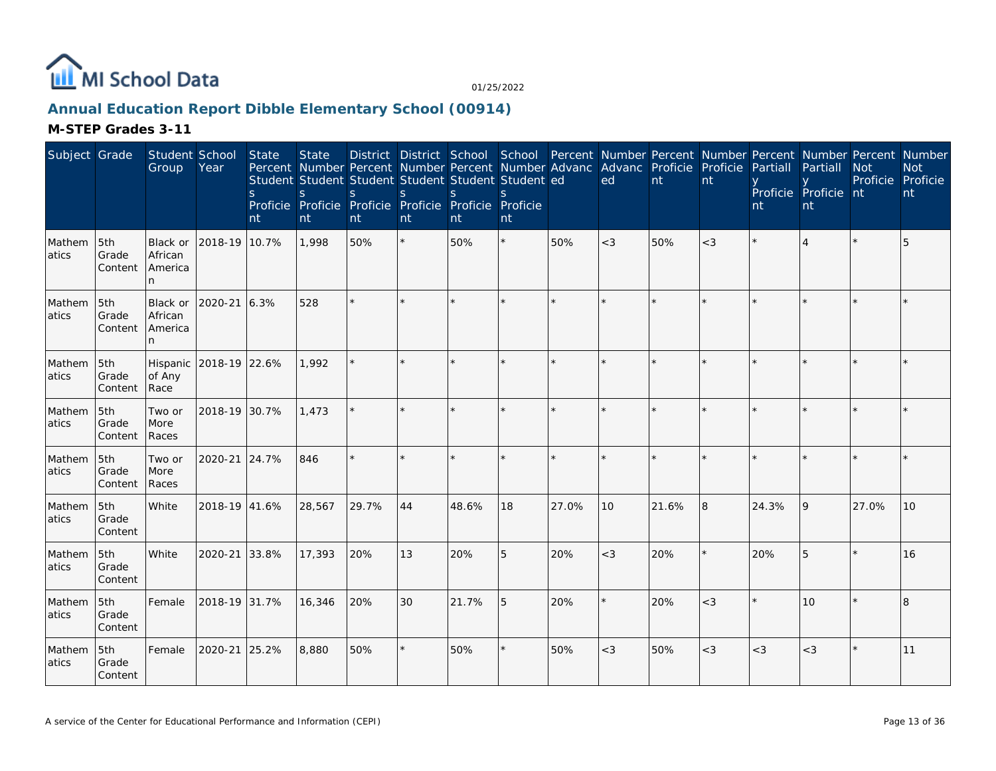

## **Annual Education Report Dibble Elementary School (00914)**

| Subject Grade   |                         | Student School<br>Group             | Year          | State<br><sub>S</sub><br>nt | <b>State</b><br>S<br>nt | Percent Number Percent Number Percent Number Advanc<br>Student Student Student Student Student Student ed<br><sub>S</sub><br>Proficie Proficie Proficie Proficie Proficie Proficie<br>nt | S<br>nt | <sub>S</sub><br>nt | $\mathcal{S}_{\mathcal{S}}$<br>nt |       | District District School School Percent Number Percent Number Percent Number Percent Number<br>Advanc Proficie Proficie<br>ed | nt    | nt    | Partiall<br>nt | Partiall<br>Proficie Proficie nt<br>nt | <b>Not</b><br>Proficie Proficie | <b>Not</b><br>nt |
|-----------------|-------------------------|-------------------------------------|---------------|-----------------------------|-------------------------|------------------------------------------------------------------------------------------------------------------------------------------------------------------------------------------|---------|--------------------|-----------------------------------|-------|-------------------------------------------------------------------------------------------------------------------------------|-------|-------|----------------|----------------------------------------|---------------------------------|------------------|
| Mathem<br>atics | 5th<br>Grade<br>Content | Black or<br>African<br>America<br>n | 2018-19 10.7% |                             | 1.998                   | 50%                                                                                                                                                                                      | $\star$ | 50%                | $\star$                           | 50%   | $<$ 3                                                                                                                         | 50%   | $<$ 3 |                |                                        |                                 | 5                |
| Mathem<br>atics | 5th<br>Grade<br>Content | Black or<br>African<br>America<br>n | 2020-21       | 6.3%                        | 528                     | ÷.                                                                                                                                                                                       | ×.      |                    |                                   |       |                                                                                                                               |       |       |                |                                        |                                 |                  |
| Mathem<br>atics | 5th<br>Grade<br>Content | Hispanic<br>of Any<br>Race          | 2018-19 22.6% |                             | 1.992                   |                                                                                                                                                                                          |         |                    | $\star$                           |       |                                                                                                                               |       |       |                |                                        |                                 |                  |
| Mathem<br>atics | 5th<br>Grade<br>Content | Two or<br>More<br>Races             | 2018-19 30.7% |                             | 1,473                   |                                                                                                                                                                                          |         |                    | ×.                                |       | ÷                                                                                                                             |       |       |                |                                        |                                 |                  |
| Mathem<br>atics | 5th<br>Grade<br>Content | Two or<br>More<br>Races             | 2020-21       | 24.7%                       | 846                     |                                                                                                                                                                                          |         |                    |                                   |       |                                                                                                                               |       |       |                |                                        |                                 |                  |
| Mathem<br>atics | 5th<br>Grade<br>Content | White                               | 2018-19 41.6% |                             | 28,567                  | 29.7%                                                                                                                                                                                    | 44      | 48.6%              | 18                                | 27.0% | 10                                                                                                                            | 21.6% | 8     | 24.3%          | 9                                      | 27.0%                           | 10               |
| Mathem<br>atics | 5th<br>Grade<br>Content | White                               | 2020-21       | 33.8%                       | 17,393                  | 20%                                                                                                                                                                                      | 13      | 20%                | 5                                 | 20%   | $<$ 3                                                                                                                         | 20%   |       | 20%            | 5                                      |                                 | 16               |
| Mathem<br>atics | 5th<br>Grade<br>Content | Female                              | 2018-19 31.7% |                             | 16,346                  | 20%                                                                                                                                                                                      | 30      | 21.7%              | 5                                 | 20%   |                                                                                                                               | 20%   | $<$ 3 |                | 10                                     |                                 | 8                |
| Mathem<br>atics | 5th<br>Grade<br>Content | Female                              | 2020-21       | 25.2%                       | 8,880                   | 50%                                                                                                                                                                                      |         | 50%                | ¥.                                | 50%   | $<$ 3                                                                                                                         | 50%   | $<$ 3 | $<$ 3          | $<$ 3                                  |                                 | 11               |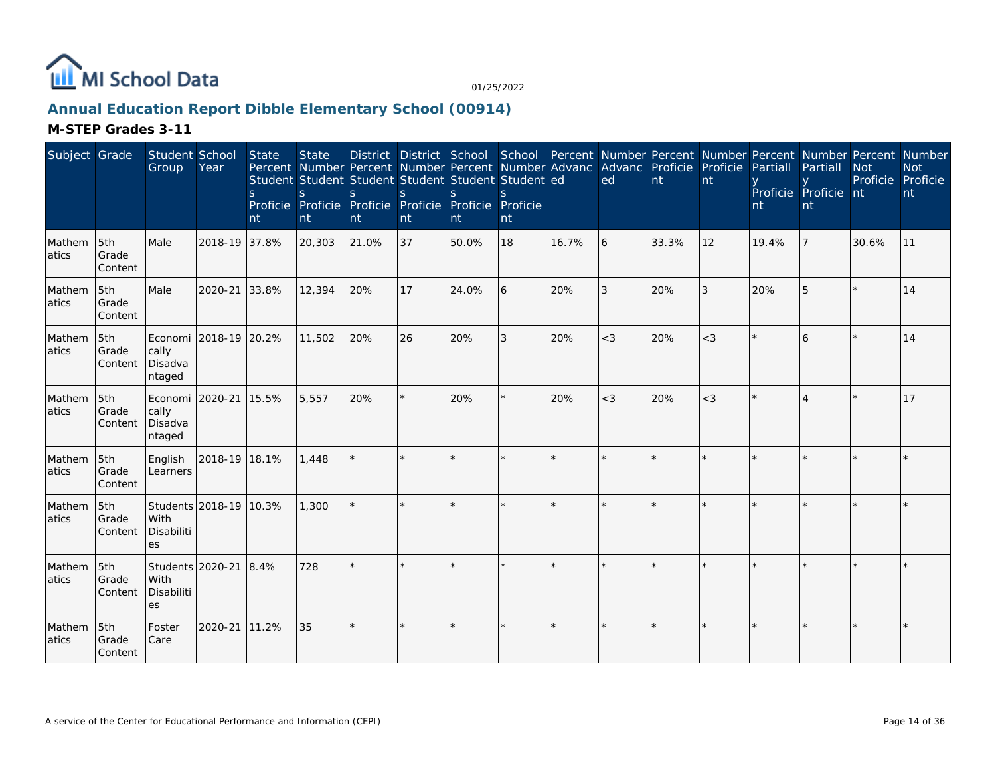

## **Annual Education Report Dibble Elementary School (00914)**

| Subject Grade   |                         | Student School<br>Group                       | Year                   | State<br><sub>S</sub><br>nt | <b>State</b><br>S<br>nt | Percent Number Percent Number Percent Number Advanc Advanc Proficie Proficie<br>Student Student Student Student Student Student ed<br><sub>S</sub><br>Proficie Proficie Proficie Proficie Proficie Proficie<br>nt | <sub>S</sub><br>nt | S.<br>nt | nt      |         | District District School School Percent Number Percent Number Percent Number Percent Number<br>ed | nt    | nt    | Partiall<br>nt | Partiall<br>Proficie Proficie nt<br>nt | <b>Not</b><br>Proficie | <b>Not</b><br>Proficie<br>nt |
|-----------------|-------------------------|-----------------------------------------------|------------------------|-----------------------------|-------------------------|-------------------------------------------------------------------------------------------------------------------------------------------------------------------------------------------------------------------|--------------------|----------|---------|---------|---------------------------------------------------------------------------------------------------|-------|-------|----------------|----------------------------------------|------------------------|------------------------------|
| Mathem<br>atics | 5th<br>Grade<br>Content | Male                                          | 2018-19 37.8%          |                             | 20,303                  | 21.0%                                                                                                                                                                                                             | 37                 | 50.0%    | 18      | 16.7%   | 6                                                                                                 | 33.3% | 12    | 19.4%          |                                        | 30.6%                  | 11                           |
| Mathem<br>atics | 5th<br>Grade<br>Content | Male                                          | 2020-21                | 33.8%                       | 12,394                  | 20%                                                                                                                                                                                                               | 17                 | 24.0%    | 6       | 20%     | 3                                                                                                 | 20%   | 3     | 20%            | 5                                      |                        | 14                           |
| Mathem<br>atics | 5th<br>Grade<br>Content | Economi<br>cally<br>Disadva<br>ntaged         | 2018-19 20.2%          |                             | 11,502                  | 20%                                                                                                                                                                                                               | 26                 | 20%      | 3       | 20%     | $<$ 3                                                                                             | 20%   | $<$ 3 |                | 6                                      |                        | 14                           |
| Mathem<br>atics | 5th<br>Grade<br>Content | Economi 2020-21<br>cally<br>Disadva<br>ntaged |                        | 15.5%                       | 5,557                   | 20%                                                                                                                                                                                                               | $\star$            | 20%      | ¥.      | 20%     | $<$ 3                                                                                             | 20%   | $<$ 3 |                |                                        |                        | 17                           |
| Mathem<br>atics | 5th<br>Grade<br>Content | English<br>Learners                           | 2018-19 18.1%          |                             | 1,448                   |                                                                                                                                                                                                                   |                    |          |         |         |                                                                                                   |       |       |                |                                        |                        |                              |
| Mathem<br>atics | 5th<br>Grade<br>Content | With<br>Disabiliti<br>es                      | Students 2018-19 10.3% |                             | 1,300                   | $\star$                                                                                                                                                                                                           | $\star$            |          | $\star$ | $\star$ | $\star$                                                                                           |       |       |                |                                        |                        | $\star$                      |
| Mathem<br>atics | 5th<br>Grade<br>Content | Students 2020-21<br>With<br>Disabiliti<br>es  |                        | 8.4%                        | 728                     |                                                                                                                                                                                                                   |                    |          |         |         |                                                                                                   |       |       |                |                                        |                        |                              |
| Mathem<br>atics | 5th<br>Grade<br>Content | Foster<br>Care                                | 2020-21                | 11.2%                       | 35                      | ÷.                                                                                                                                                                                                                | ×.                 |          | $\star$ |         |                                                                                                   |       |       |                |                                        |                        |                              |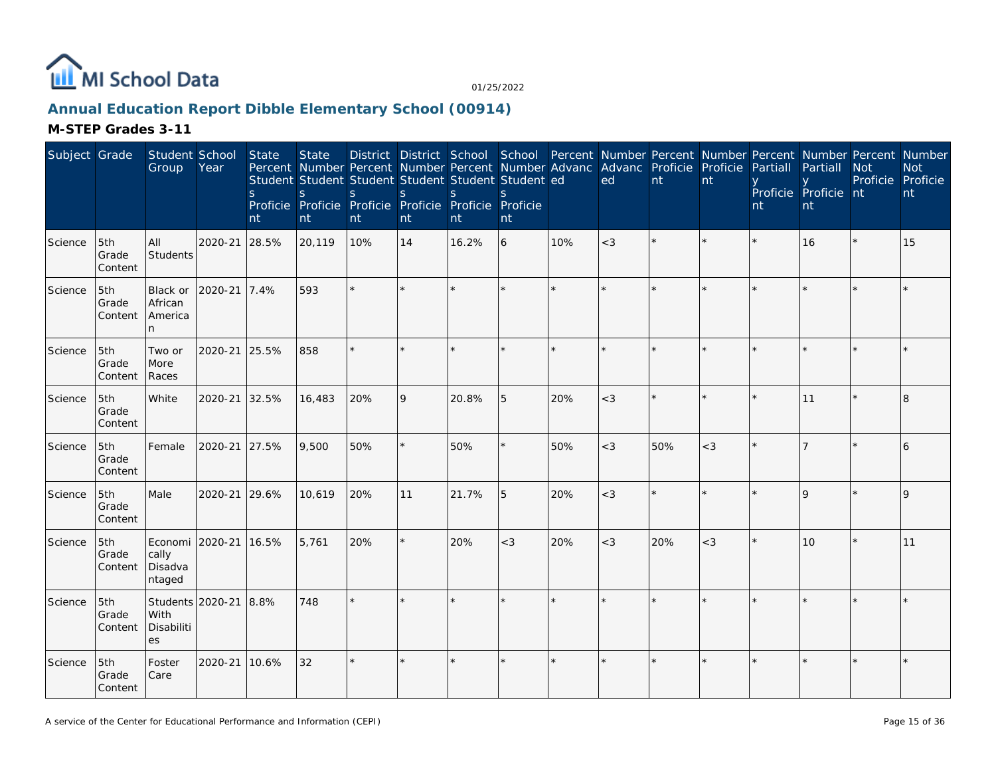

## **Annual Education Report Dibble Elementary School (00914)**

| Subject Grade |                         | Student School<br>Group                       | Year    | State<br><sub>S</sub><br>nt | <b>State</b><br>Percent Number Percent Number Percent Number Advanc Advanc Proficie Proficie<br>Student Student Student Student Student Student ed<br>S.<br>Proficie Proficie Proficie Proficie Proficie Proficie<br>nt | District District School School Percent Number Percent Number Percent Number Percent Number<br><sub>S</sub><br>nt | $\mathsf S$<br>nt | S<br>nt | S<br>nt |     | ed    | nt  | nt    | Partiall<br>nt | Partiall<br>Proficie Proficie nt<br>nt | Not<br>Proficie | <b>Not</b><br>Proficie<br>nt |
|---------------|-------------------------|-----------------------------------------------|---------|-----------------------------|-------------------------------------------------------------------------------------------------------------------------------------------------------------------------------------------------------------------------|-------------------------------------------------------------------------------------------------------------------|-------------------|---------|---------|-----|-------|-----|-------|----------------|----------------------------------------|-----------------|------------------------------|
| Science       | 5th<br>Grade<br>Content | All<br>Students                               | 2020-21 | 28.5%                       | 20,119                                                                                                                                                                                                                  | 10%                                                                                                               | 14                | 16.2%   | 6       | 10% | $<$ 3 |     |       |                | 16                                     |                 | 15                           |
| Science       | 5th<br>Grade<br>Content | Black or<br>African<br>America<br>n.          | 2020-21 | 7.4%                        | 593                                                                                                                                                                                                                     |                                                                                                                   |                   |         |         |     |       |     |       |                |                                        |                 |                              |
| Science       | 5th<br>Grade<br>Content | Two or<br>More<br>Races                       | 2020-21 | 25.5%                       | 858                                                                                                                                                                                                                     |                                                                                                                   |                   |         |         |     |       |     |       |                |                                        |                 |                              |
| Science       | 5th<br>Grade<br>Content | White                                         | 2020-21 | 32.5%                       | 16,483                                                                                                                                                                                                                  | 20%                                                                                                               | 9                 | 20.8%   | 5       | 20% | $<$ 3 |     |       |                | 11                                     |                 | 8                            |
| Science       | 5th<br>Grade<br>Content | Female                                        | 2020-21 | 27.5%                       | 9,500                                                                                                                                                                                                                   | 50%                                                                                                               | $\star$           | 50%     | $\star$ | 50% | $<$ 3 | 50% | $<$ 3 |                |                                        |                 | 6                            |
| Science       | 5th<br>Grade<br>Content | Male                                          | 2020-21 | 29.6%                       | 10,619                                                                                                                                                                                                                  | 20%                                                                                                               | 11                | 21.7%   | 5       | 20% | $<$ 3 |     |       |                | $\mathsf{Q}$                           |                 |                              |
| Science       | 5th<br>Grade<br>Content | Economi 2020-21<br>cally<br>Disadva<br>ntaged |         | 16.5%                       | 5,761                                                                                                                                                                                                                   | 20%                                                                                                               | $\star$           | 20%     | $<$ 3   | 20% | $<$ 3 | 20% | $<$ 3 |                | 10                                     |                 | 11                           |
| Science       | 5th<br>Grade<br>Content | Students 2020-21<br>With<br>Disabiliti<br>es  |         | 8.8%                        | 748                                                                                                                                                                                                                     |                                                                                                                   |                   |         | $\star$ |     |       |     |       |                |                                        |                 |                              |
| Science       | 5th<br>Grade<br>Content | Foster<br>Care                                | 2020-21 | 10.6%                       | 32                                                                                                                                                                                                                      |                                                                                                                   |                   |         | $\star$ |     |       |     |       |                |                                        |                 |                              |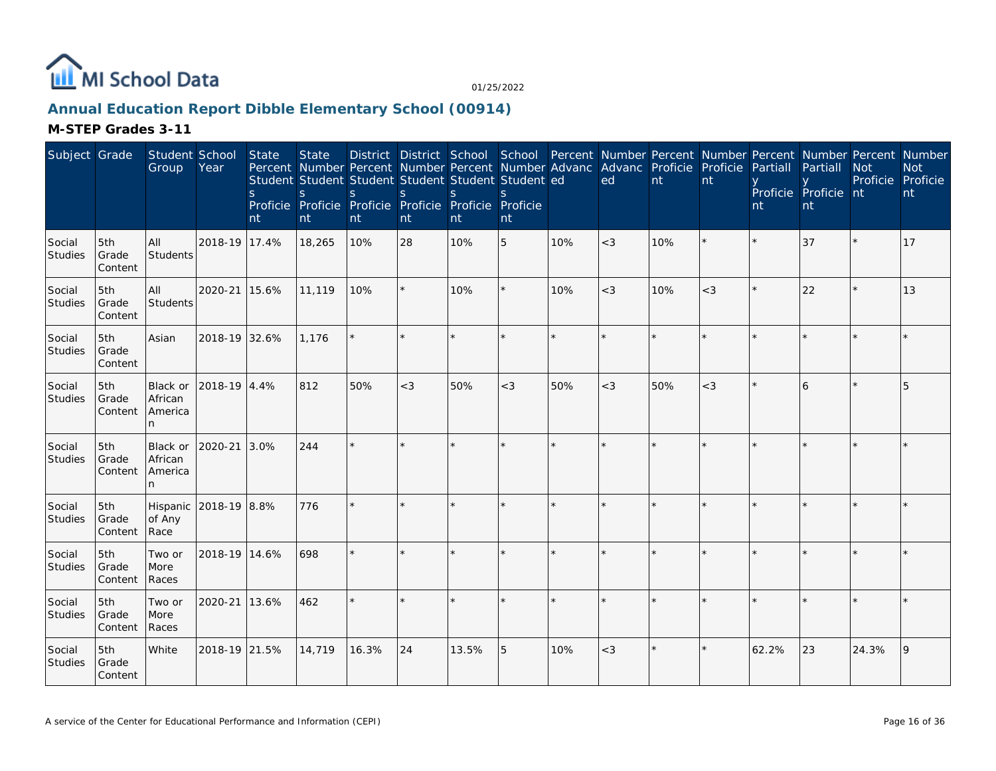

## **Annual Education Report Dibble Elementary School (00914)**

| Subject Grade            |                         | Student School<br>Group              | Year          | State<br>$\mathsf{S}$<br>nt | <b>State</b><br>Student Student Student Student Student Student ed<br>S<br>Proficie Proficie Proficie Proficie Proficie Proficie<br>nt | S.<br>nt | <sub>S</sub><br>nt | S.<br>nt | $\mathcal{S}_{\mathcal{S}}$<br>nt |     | District District School School Percent Number Percent Number Percent Number Percent Number<br>Percent Number Percent Number Percent Number Advanc Advanc Proficie<br>ed | nt  | Proficie<br>nt | Partiall<br>nt | Partiall<br>Proficie Proficie nt<br>nt | <b>Not</b><br>Proficie Proficie | <b>Not</b><br>nt |
|--------------------------|-------------------------|--------------------------------------|---------------|-----------------------------|----------------------------------------------------------------------------------------------------------------------------------------|----------|--------------------|----------|-----------------------------------|-----|--------------------------------------------------------------------------------------------------------------------------------------------------------------------------|-----|----------------|----------------|----------------------------------------|---------------------------------|------------------|
| Social<br><b>Studies</b> | 5th<br>Grade<br>Content | All<br>Students                      | 2018-19 17.4% |                             | 18,265                                                                                                                                 | 10%      | 28                 | 10%      | 5                                 | 10% | $<$ 3                                                                                                                                                                    | 10% |                |                | 37                                     |                                 | 17               |
| Social<br><b>Studies</b> | 5th<br>Grade<br>Content | All<br>Students                      | 2020-21       | 15.6%                       | 11,119                                                                                                                                 | 10%      |                    | 10%      | ×                                 | 10% | $<$ 3                                                                                                                                                                    | 10% | $<$ 3          |                | 22                                     |                                 | 13               |
| Social<br>Studies        | 5th<br>Grade<br>Content | Asian                                | 2018-19 32.6% |                             | 1,176                                                                                                                                  | $\star$  | $\star$            |          | $\star$                           |     | $\star$                                                                                                                                                                  |     |                |                |                                        |                                 |                  |
| Social<br><b>Studies</b> | 5th<br>Grade<br>Content | Black or<br>African<br>America<br>n  | 2018-19 4.4%  |                             | 812                                                                                                                                    | 50%      | $<$ 3              | 50%      | $<$ 3                             | 50% | $<$ 3                                                                                                                                                                    | 50% | $<$ 3          |                | 6                                      |                                 | 5                |
| Social<br>Studies        | 5th<br>Grade<br>Content | Black or<br>African<br>America<br>n. | 2020-21       | 3.0%                        | 244                                                                                                                                    | ÷.       | ×.                 |          | $\star$                           |     |                                                                                                                                                                          |     |                |                |                                        |                                 |                  |
| Social<br>Studies        | 5th<br>Grade<br>Content | Hispanic<br>of Any<br>Race           | 2018-19 8.8%  |                             | 776                                                                                                                                    |          |                    |          | $\star$                           |     |                                                                                                                                                                          |     |                |                |                                        |                                 |                  |
| Social<br>Studies        | 5th<br>Grade<br>Content | Two or<br>More<br>Races              | 2018-19 14.6% |                             | 698                                                                                                                                    | ÷.       | $\star$            |          | ×.                                |     |                                                                                                                                                                          |     |                |                |                                        |                                 |                  |
| Social<br>Studies        | 5th<br>Grade<br>Content | Two or<br>More<br>Races              | 2020-21       | 13.6%                       | 462                                                                                                                                    | ÷.       |                    |          |                                   |     |                                                                                                                                                                          |     |                |                |                                        |                                 |                  |
| Social<br><b>Studies</b> | 5th<br>Grade<br>Content | White                                | 2018-19 21.5% |                             | 14,719                                                                                                                                 | 16.3%    | 24                 | 13.5%    | 5                                 | 10% | $<$ 3                                                                                                                                                                    |     |                | 62.2%          | 23                                     | 24.3%                           | 9                |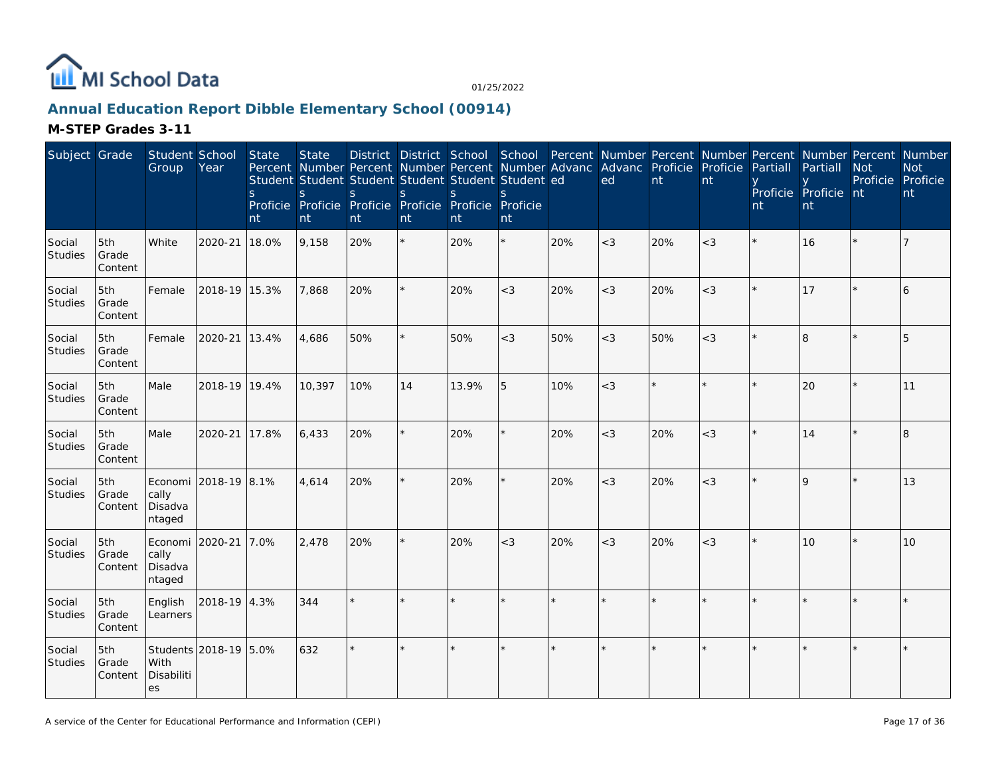

## **Annual Education Report Dibble Elementary School (00914)**

| Subject Grade            |                         | Student School<br>Group                       | Year                  | State<br>S.<br>nt | <b>State</b><br>S<br>nt | <sub>S</sub><br>nt | S<br>nt | District District School School Percent Number Percent Number Percent Number Percent Number<br>Percent Number Percent Number Percent Number Advanc<br>Student Student Student Student Student Student ed<br><sub>S</sub><br>Proficie Proficie Proficie Proficie Proficie Proficie<br>nt | <sub>S</sub><br>nt |     | Advanc Proficie<br>ed | nt      | Proficie<br>nt | Partiall<br>nt | Partiall<br>Proficie Proficie nt<br>nt | <b>Not</b><br>Proficie Proficie | <b>Not</b><br>nt |
|--------------------------|-------------------------|-----------------------------------------------|-----------------------|-------------------|-------------------------|--------------------|---------|-----------------------------------------------------------------------------------------------------------------------------------------------------------------------------------------------------------------------------------------------------------------------------------------|--------------------|-----|-----------------------|---------|----------------|----------------|----------------------------------------|---------------------------------|------------------|
| Social<br>Studies        | 5th<br>Grade<br>Content | White                                         | 2020-21               | 18.0%             | 9,158                   | 20%                |         | 20%                                                                                                                                                                                                                                                                                     |                    | 20% | $<$ 3                 | 20%     | $<$ 3          |                | 16                                     |                                 | 7                |
| Social<br>Studies        | 5th<br>Grade<br>Content | Female                                        | 2018-19 15.3%         |                   | 7,868                   | 20%                |         | 20%                                                                                                                                                                                                                                                                                     | $<$ 3              | 20% | $<$ 3                 | 20%     | $<$ 3          |                | 17                                     |                                 | 6                |
| Social<br><b>Studies</b> | 5th<br>Grade<br>Content | Female                                        | 2020-21 13.4%         |                   | 4,686                   | 50%                |         | 50%                                                                                                                                                                                                                                                                                     | $<$ 3              | 50% | $<$ 3                 | 50%     | $<$ 3          |                | $\overline{8}$                         |                                 | 5                |
| Social<br>Studies        | 5th<br>Grade<br>Content | Male                                          | 2018-19 19.4%         |                   | 10,397                  | 10%                | 14      | 13.9%                                                                                                                                                                                                                                                                                   | 5                  | 10% | $<$ 3                 | $\star$ |                |                | 20                                     |                                 | 11               |
| Social<br><b>Studies</b> | 5th<br>Grade<br>Content | Male                                          | 2020-21               | 17.8%             | 6,433                   | 20%                |         | 20%                                                                                                                                                                                                                                                                                     |                    | 20% | $<$ 3                 | 20%     | $<$ 3          |                | 14                                     |                                 | 8                |
| Social<br>Studies        | 5th<br>Grade<br>Content | cally<br>Disadva<br>ntaged                    | Economi 2018-19 8.1%  |                   | 4,614                   | 20%                |         | 20%                                                                                                                                                                                                                                                                                     |                    | 20% | $<$ 3                 | 20%     | $<$ 3          |                | $\mathsf Q$                            |                                 | 13               |
| Social<br>Studies        | 5th<br>Grade<br>Content | Economi 2020-21<br>cally<br>Disadva<br>ntaged |                       | 7.0%              | 2,478                   | 20%                |         | 20%                                                                                                                                                                                                                                                                                     | $<$ 3              | 20% | $<$ 3                 | 20%     | $<$ 3          |                | 10                                     |                                 | 10               |
| Social<br><b>Studies</b> | 5th<br>Grade<br>Content | English<br>Learners                           | 2018-19 4.3%          |                   | 344                     |                    |         |                                                                                                                                                                                                                                                                                         |                    |     |                       |         |                |                |                                        |                                 | $\star$          |
| Social<br>Studies        | 5th<br>Grade<br>Content | With<br>Disabiliti<br>es                      | Students 2018-19 5.0% |                   | 632                     | $\star$            | $\star$ |                                                                                                                                                                                                                                                                                         |                    |     |                       |         |                |                |                                        |                                 |                  |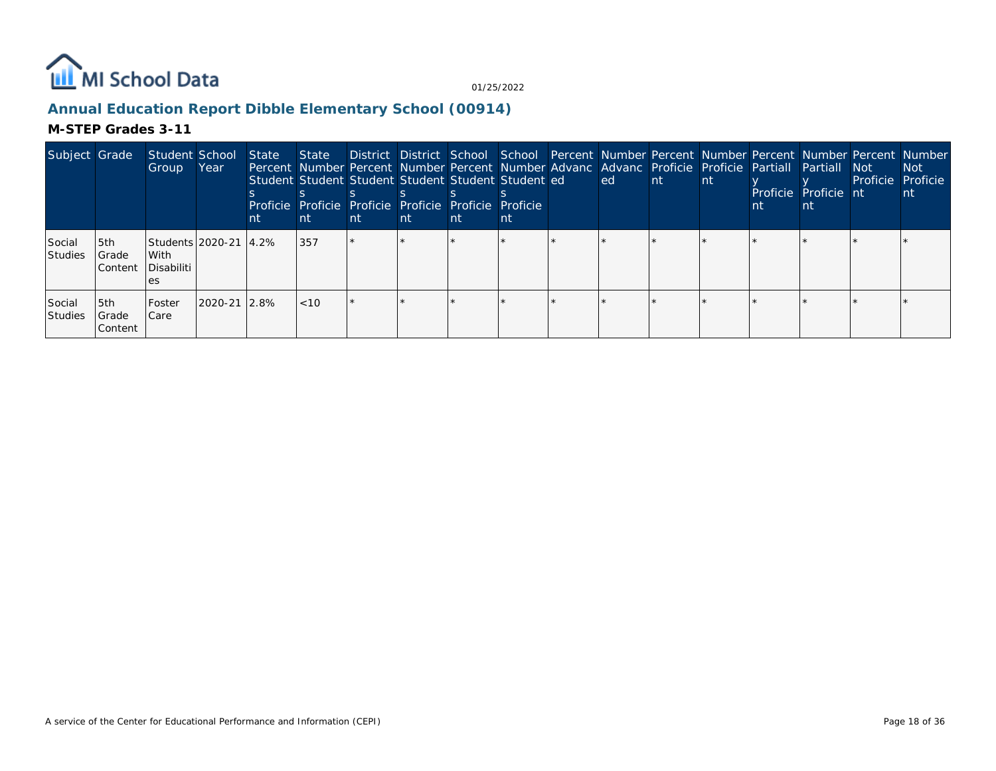

## **Annual Education Report Dibble Elementary School (00914)**

| Subject Grade            |                           | Student School<br>Group                        | Year               | State<br>nt | State District District School School Percent Number Percent Number Percent Number Percent Number<br>Percent Number Percent Number Percent Number Advanc Advanc Proficie Proficie Partiall Partiall Not<br>Student Student Student Student Student Student ed<br>Proficie Proficie Proficie Proficie Proficie Proficie<br>nt | nt | nt | nt | nτ | led l | -nt- | l nti | nt | Proficie Proficie nt<br>nt | Proficie Proficie | Not l |
|--------------------------|---------------------------|------------------------------------------------|--------------------|-------------|------------------------------------------------------------------------------------------------------------------------------------------------------------------------------------------------------------------------------------------------------------------------------------------------------------------------------|----|----|----|----|-------|------|-------|----|----------------------------|-------------------|-------|
| Social<br><b>Studies</b> | 5th<br>Grade<br>l Content | Students 2020-21 14.2%<br>With<br>l Disabiliti |                    |             | 357                                                                                                                                                                                                                                                                                                                          |    |    |    |    |       |      |       |    |                            |                   |       |
| Social<br><b>Studies</b> | 5th<br>Grade<br>l Content | l Foster<br>l Care                             | $12020 - 2112.8\%$ |             | <10                                                                                                                                                                                                                                                                                                                          |    |    |    |    |       |      |       |    |                            |                   |       |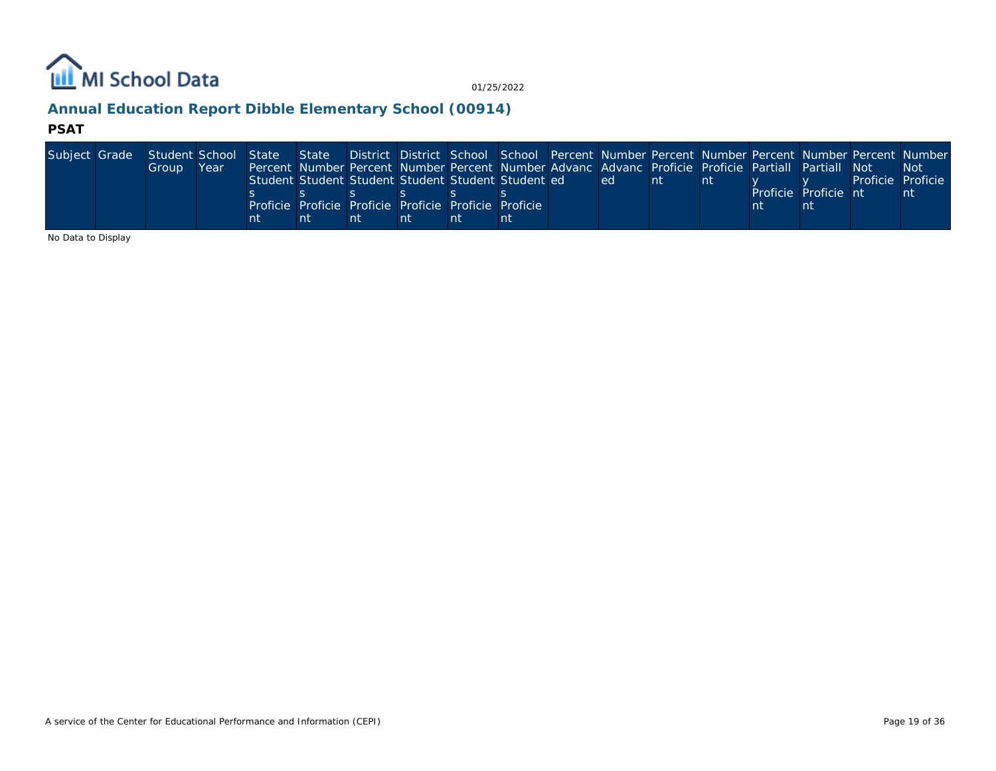

## **Annual Education Report Dibble Elementary School (00914)**

#### **PSAT**

| Subject Grade Student School State State |       |      |    |                                                                                                    |    |    |    |     |      |  |                      |                   | District District School School Percent Number Percent Number Percent Number Percent Number |
|------------------------------------------|-------|------|----|----------------------------------------------------------------------------------------------------|----|----|----|-----|------|--|----------------------|-------------------|---------------------------------------------------------------------------------------------|
|                                          | Group | Year |    | Percent Number Percent Number Percent Number Advanc Advanc Proficie Proficie Partiall Partiall Not |    |    |    |     |      |  |                      |                   | <b>Not</b>                                                                                  |
|                                          |       |      |    | Student Student Student Student Student Student ed                                                 |    |    |    | led | l nt |  |                      | Proficie Proficie |                                                                                             |
|                                          |       |      |    |                                                                                                    |    |    |    |     |      |  | Proficie Proficie nt |                   | nt                                                                                          |
|                                          |       |      |    | Proficie Proficie Proficie Proficie Proficie Proficie                                              |    |    |    |     |      |  |                      |                   |                                                                                             |
|                                          |       |      | nt |                                                                                                    | nt | nt | nt |     |      |  |                      |                   |                                                                                             |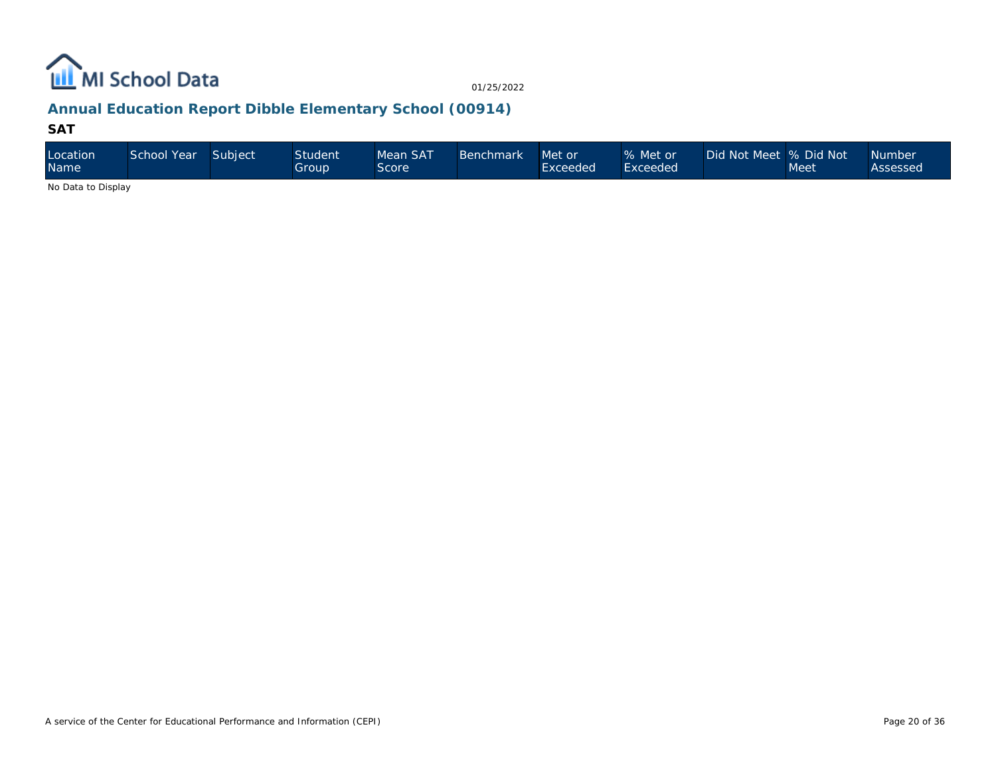

## **Annual Education Report Dibble Elementary School (00914)**

#### **SAT**

| Location<br>Name            | School Year | Subject | <b>Student</b><br>Group | Mean SAT<br><b>Score</b> | <b>Benchmark</b> | Met or<br>Exceeded | % Met or<br>Exceeded <sup>1</sup> | Did Not Meet % Did Not | Meet | <b>Number</b><br>Assessed |
|-----------------------------|-------------|---------|-------------------------|--------------------------|------------------|--------------------|-----------------------------------|------------------------|------|---------------------------|
| Also Distributed Districts. |             |         |                         |                          |                  |                    |                                   |                        |      |                           |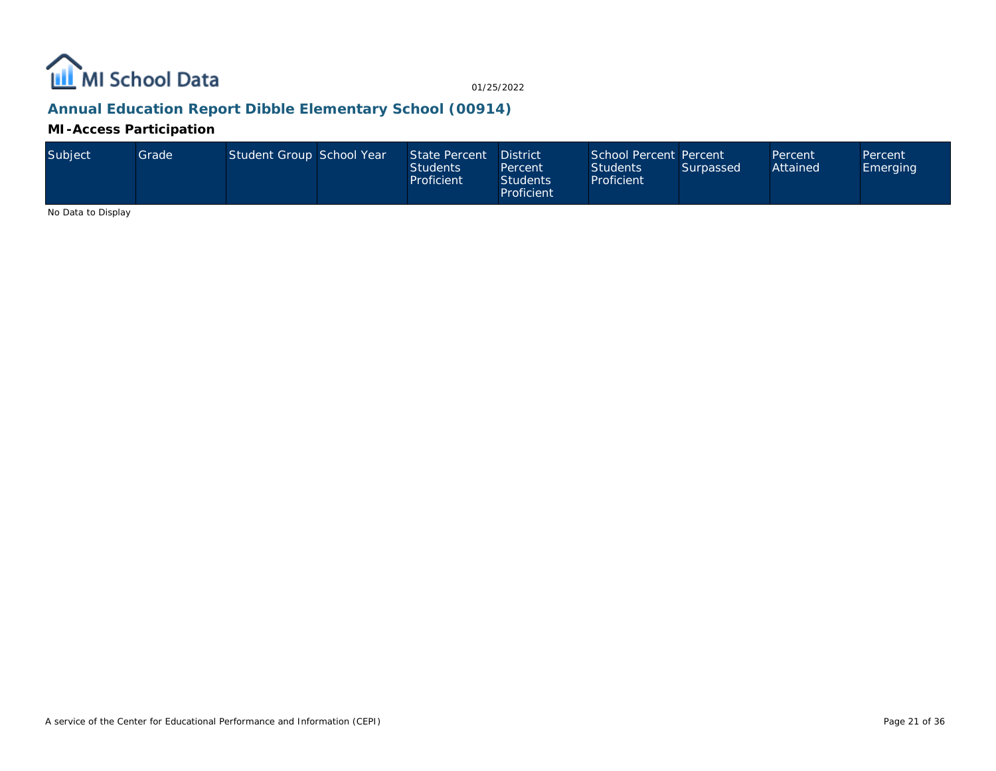

## **Annual Education Report Dibble Elementary School (00914)**

#### **MI-Access Participation**

| Subject | Grade | Student Group School Year |  | State Percent District<br><b>Students</b><br>Proficient | Percent<br><b>Students</b><br>Proficient | School Percent Percent<br><b>Students</b><br>Proficient | Surpassed | Percent<br>Attained | Percent<br>Emerging |
|---------|-------|---------------------------|--|---------------------------------------------------------|------------------------------------------|---------------------------------------------------------|-----------|---------------------|---------------------|
|---------|-------|---------------------------|--|---------------------------------------------------------|------------------------------------------|---------------------------------------------------------|-----------|---------------------|---------------------|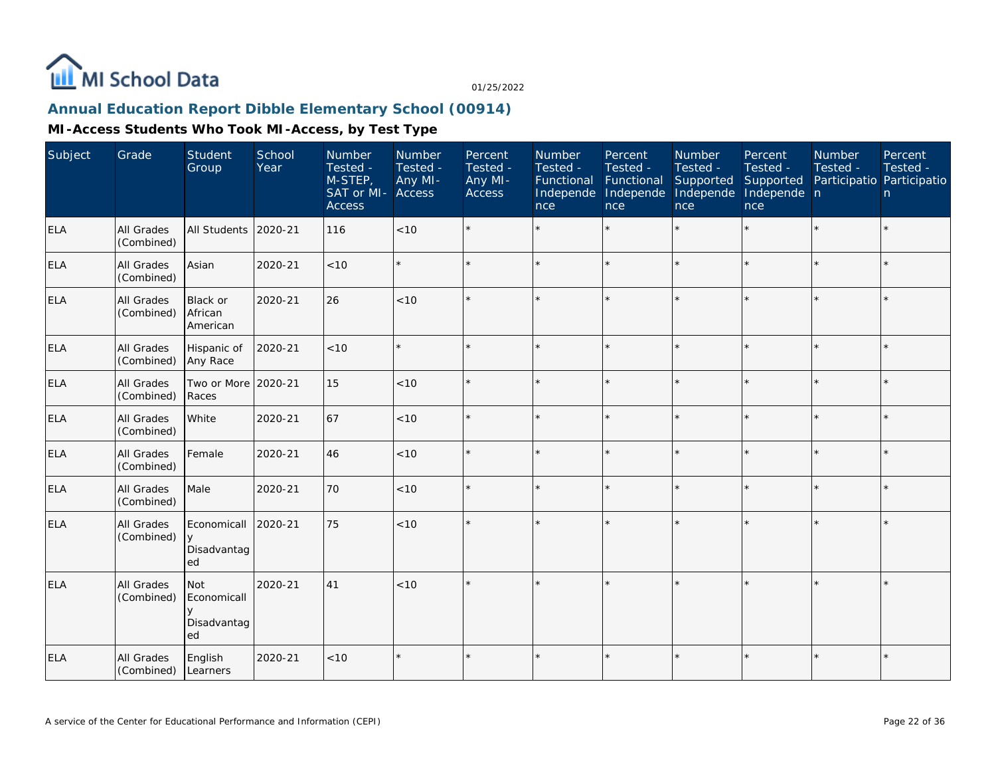

## **Annual Education Report Dibble Elementary School (00914)**

| Subject    | Grade                    | Student<br>Group                           | School<br>Year | Number<br>Tested -<br>M-STEP,<br>SAT or MI-<br><b>Access</b> | Number<br>Tested -<br>Any MI-<br>Access | Percent<br>Tested -<br>Any MI-<br>Access | Number<br>Tested -<br>Functional<br>Independe<br>nce | Percent<br>Tested -<br>Functional<br>Independe<br>nce | Number<br>Tested -<br>Supported<br>Independe<br>nce | Percent<br>Tested -<br>Supported<br>Independe n<br>nce | <b>Number</b><br>Tested -<br>Participatio Participatio | Percent<br>Tested -<br>n. |
|------------|--------------------------|--------------------------------------------|----------------|--------------------------------------------------------------|-----------------------------------------|------------------------------------------|------------------------------------------------------|-------------------------------------------------------|-----------------------------------------------------|--------------------------------------------------------|--------------------------------------------------------|---------------------------|
| <b>ELA</b> | All Grades<br>(Combined) | <b>All Students</b>                        | 2020-21        | 116                                                          | $<10$                                   |                                          |                                                      |                                                       |                                                     | ×.                                                     |                                                        | $\star$                   |
| <b>ELA</b> | All Grades<br>(Combined) | Asian                                      | 2020-21        | < 10                                                         |                                         |                                          |                                                      | $\star$                                               | ÷                                                   | $\star$                                                | $\star$                                                | $\star$                   |
| <b>ELA</b> | All Grades<br>(Combined) | <b>Black or</b><br>African<br>American     | 2020-21        | 26                                                           | < 10                                    |                                          |                                                      |                                                       | ÷                                                   |                                                        |                                                        | $\star$                   |
| ELA        | All Grades<br>(Combined) | Hispanic of<br>Any Race                    | 2020-21        | < 10                                                         |                                         |                                          |                                                      |                                                       |                                                     |                                                        | $\star$                                                | $\star$                   |
| <b>ELA</b> | All Grades<br>(Combined) | Two or More<br>Races                       | 2020-21        | 15                                                           | < 10                                    |                                          |                                                      | $\star$                                               | ÷                                                   |                                                        |                                                        | $\star$                   |
| <b>ELA</b> | All Grades<br>(Combined) | White                                      | 2020-21        | 67                                                           | < 10                                    | $\star$                                  |                                                      | $\star$                                               | ÷                                                   | $\star$                                                | $\star$                                                | $\star$                   |
| <b>ELA</b> | All Grades<br>(Combined) | Female                                     | 2020-21        | 46                                                           | < 10                                    |                                          |                                                      |                                                       | ÷                                                   | ×.                                                     |                                                        | $\star$                   |
| <b>ELA</b> | All Grades<br>(Combined) | Male                                       | 2020-21        | 70                                                           | < 10                                    |                                          |                                                      |                                                       |                                                     | sk.                                                    |                                                        | $\star$                   |
| ELA        | All Grades<br>(Combined) | Economicall<br>$\vee$<br>Disadvantag<br>ed | 2020-21        | 75                                                           | < 10                                    |                                          |                                                      |                                                       |                                                     |                                                        |                                                        | $\star$                   |
| ELA        | All Grades<br>(Combined) | Not<br>Economicall<br>Disadvantag<br>ed    | 2020-21        | 41                                                           | < 10                                    |                                          |                                                      |                                                       |                                                     |                                                        |                                                        | $\star$                   |
| <b>ELA</b> | All Grades<br>(Combined) | English<br>Learners                        | 2020-21        | < 10                                                         |                                         |                                          |                                                      |                                                       |                                                     |                                                        |                                                        | $\star$                   |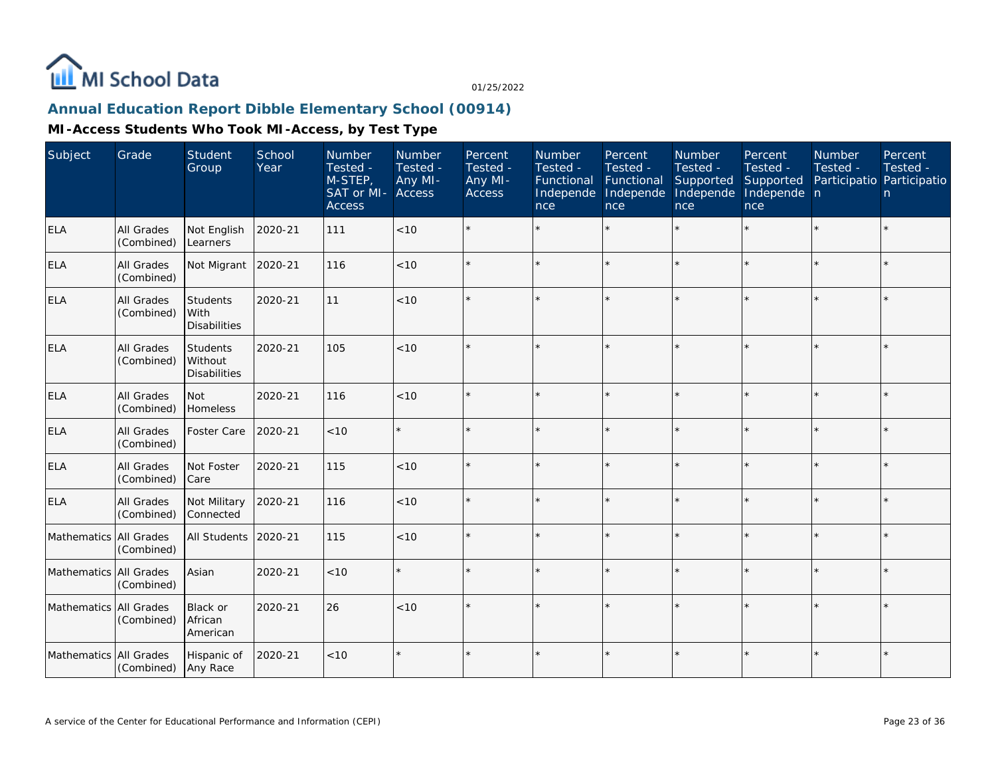

# **Annual Education Report Dibble Elementary School (00914)**

| Subject                | Grade                           | Student<br>Group                                  | School<br>Year | Number<br>Tested -<br>M-STEP,<br>SAT or MI-<br><b>Access</b> | <b>Number</b><br>Tested -<br>Any MI-<br>Access | Percent<br>Tested -<br>Any MI-<br>Access | <b>Number</b><br>Tested -<br>Functional<br>Independe<br>nce | Percent<br>Tested -<br>Functional<br>Independe<br>nce | Number<br>Tested -<br>Supported<br>Independe<br>nce | Percent<br>Tested -<br>Supported<br>Independe n<br>nce | <b>Number</b><br>Tested - | Percent<br>Tested -<br>Participatio Participatio<br>n. |
|------------------------|---------------------------------|---------------------------------------------------|----------------|--------------------------------------------------------------|------------------------------------------------|------------------------------------------|-------------------------------------------------------------|-------------------------------------------------------|-----------------------------------------------------|--------------------------------------------------------|---------------------------|--------------------------------------------------------|
| <b>ELA</b>             | All Grades<br>(Combined)        | Not English<br>Learners                           | 2020-21        | 111                                                          | < 10                                           |                                          |                                                             | $\star$                                               |                                                     |                                                        |                           | $\star$                                                |
| <b>ELA</b>             | All Grades<br>(Combined)        | Not Migrant                                       | 2020-21        | 116                                                          | < 10                                           |                                          |                                                             | $\star$                                               | ÷                                                   |                                                        |                           | $\star$                                                |
| <b>ELA</b>             | All Grades<br>(Combined)        | <b>Students</b><br>With<br><b>Disabilities</b>    | 2020-21        | 11                                                           | < 10                                           |                                          |                                                             | $\star$                                               | ÷                                                   |                                                        |                           | $\star$                                                |
| <b>ELA</b>             | <b>All Grades</b><br>(Combined) | <b>Students</b><br>Without<br><b>Disabilities</b> | 2020-21        | 105                                                          | < 10                                           | $\star$                                  |                                                             | $\star$                                               |                                                     |                                                        |                           | $\star$                                                |
| <b>ELA</b>             | All Grades<br>(Combined)        | <b>Not</b><br>Homeless                            | 2020-21        | 116                                                          | < 10                                           |                                          |                                                             | $\star$                                               |                                                     |                                                        |                           | $\star$                                                |
| <b>ELA</b>             | All Grades<br>(Combined)        | Foster Care                                       | 2020-21        | < 10                                                         |                                                | $\star$                                  |                                                             | $\star$                                               |                                                     |                                                        |                           | $\star$                                                |
| <b>ELA</b>             | All Grades<br>(Combined)        | Not Foster<br>Care                                | 2020-21        | 115                                                          | < 10                                           |                                          |                                                             | $\star$                                               |                                                     |                                                        |                           | $\star$                                                |
| <b>ELA</b>             | All Grades<br>(Combined)        | Not Military<br>Connected                         | 2020-21        | 116                                                          | < 10                                           | $\star$                                  |                                                             | $\star$                                               |                                                     |                                                        |                           | $\star$                                                |
| Mathematics All Grades | (Combined)                      | All Students                                      | 2020-21        | 115                                                          | < 10                                           |                                          |                                                             | $\star$                                               |                                                     |                                                        |                           | $\star$                                                |
| Mathematics All Grades | (Combined)                      | Asian                                             | 2020-21        | < 10                                                         |                                                | $\star$                                  | $\star$                                                     | $\star$                                               |                                                     |                                                        |                           | $\star$                                                |
| Mathematics All Grades | (Combined)                      | Black or<br>African<br>American                   | 2020-21        | 26                                                           | < 10                                           |                                          |                                                             | ÷                                                     |                                                     |                                                        |                           | ÷.                                                     |
| Mathematics All Grades | (Combined)                      | Hispanic of<br>Any Race                           | 2020-21        | $<10$                                                        | $\star$                                        | $\star$                                  |                                                             | $\star$                                               |                                                     |                                                        |                           | $\star$                                                |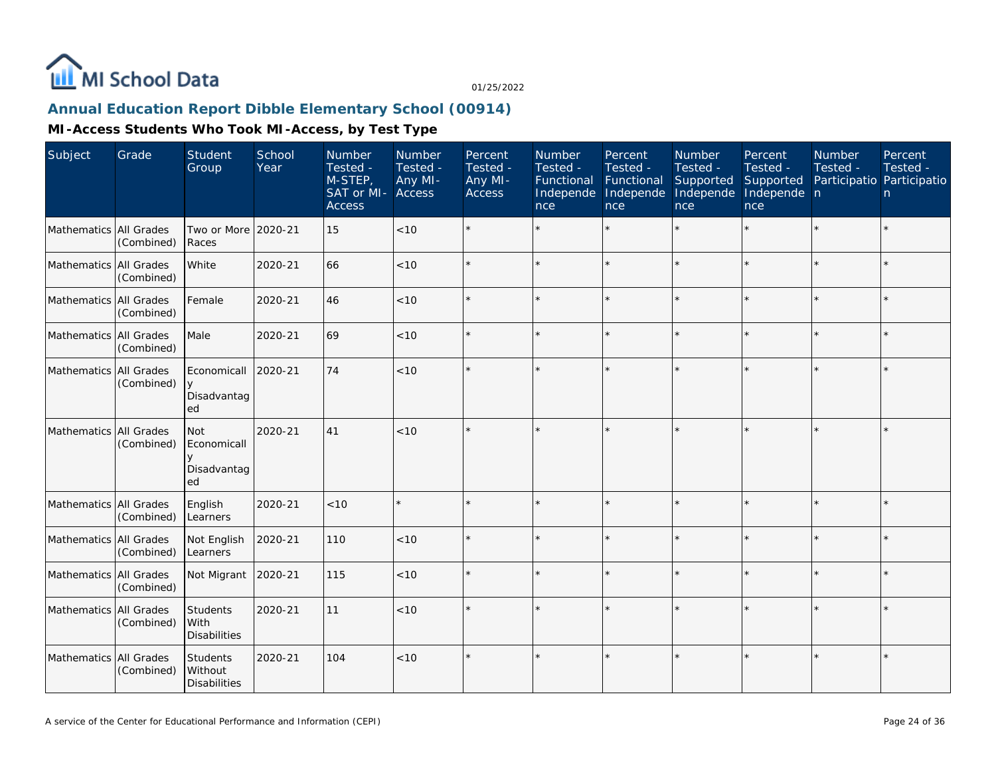

## **Annual Education Report Dibble Elementary School (00914)**

| Subject                | Grade      | Student<br>Group                               | School<br>Year | Number<br>Tested -<br>M-STEP,<br>SAT or MI-<br><b>Access</b> | Number<br>Tested -<br>Any MI-<br>Access | Percent<br>Tested -<br>Any MI-<br>Access | Number<br>Tested -<br>Functional<br>Independe<br>nce | Percent<br>Tested -<br>Functional<br>Independe<br>nce | Number<br>Tested -<br>Supported<br>Independe<br>nce | Percent<br>Tested -<br>Supported<br>Independe n<br>nce | Number<br>Tested - | Percent<br>Tested -<br>Participatio Participatio<br>n |
|------------------------|------------|------------------------------------------------|----------------|--------------------------------------------------------------|-----------------------------------------|------------------------------------------|------------------------------------------------------|-------------------------------------------------------|-----------------------------------------------------|--------------------------------------------------------|--------------------|-------------------------------------------------------|
| Mathematics All Grades | (Combined) | Two or More 2020-21<br>Races                   |                | 15                                                           | < 10                                    |                                          |                                                      |                                                       |                                                     |                                                        |                    | $\star$                                               |
| Mathematics All Grades | (Combined) | White                                          | 2020-21        | 66                                                           | < 10                                    |                                          |                                                      | $\star$                                               |                                                     | $\star$                                                |                    | $\star$                                               |
| Mathematics All Grades | (Combined) | Female                                         | 2020-21        | 46                                                           | < 10                                    |                                          |                                                      |                                                       |                                                     | $\star$                                                |                    | $\star$                                               |
| Mathematics All Grades | (Combined) | Male                                           | 2020-21        | 69                                                           | < 10                                    |                                          |                                                      | $\star$                                               |                                                     |                                                        |                    | $\star$                                               |
| Mathematics All Grades | (Combined) | Economicall<br>Disadvantag<br>ed               | 2020-21        | 74                                                           | < 10                                    |                                          |                                                      | ÷                                                     | ÷                                                   | $\star$                                                | ÷                  | ÷.                                                    |
| Mathematics All Grades | (Combined) | <b>Not</b><br>Economicall<br>Disadvantag<br>ed | 2020-21        | 41                                                           | < 10                                    |                                          |                                                      |                                                       |                                                     |                                                        |                    | $\star$                                               |
| Mathematics All Grades | (Combined) | English<br>Learners                            | 2020-21        | < 10                                                         | $\star$                                 |                                          |                                                      | $\star$                                               |                                                     |                                                        |                    | $\star$                                               |
| Mathematics All Grades | (Combined) | Not English<br>Learners                        | 2020-21        | 110                                                          | < 10                                    |                                          |                                                      | $\star$                                               |                                                     | $\star$                                                |                    | $\star$                                               |
| Mathematics All Grades | (Combined) | Not Migrant                                    | 2020-21        | 115                                                          | < 10                                    |                                          |                                                      |                                                       |                                                     | ×.                                                     |                    | $\star$                                               |
| Mathematics All Grades | (Combined) | Students<br>With<br><b>Disabilities</b>        | 2020-21        | 11                                                           | < 10                                    |                                          |                                                      |                                                       |                                                     |                                                        |                    | $\star$                                               |
| Mathematics All Grades | (Combined) | Students<br>Without<br><b>Disabilities</b>     | 2020-21        | 104                                                          | < 10                                    |                                          |                                                      | $\star$                                               |                                                     |                                                        |                    | $\star$                                               |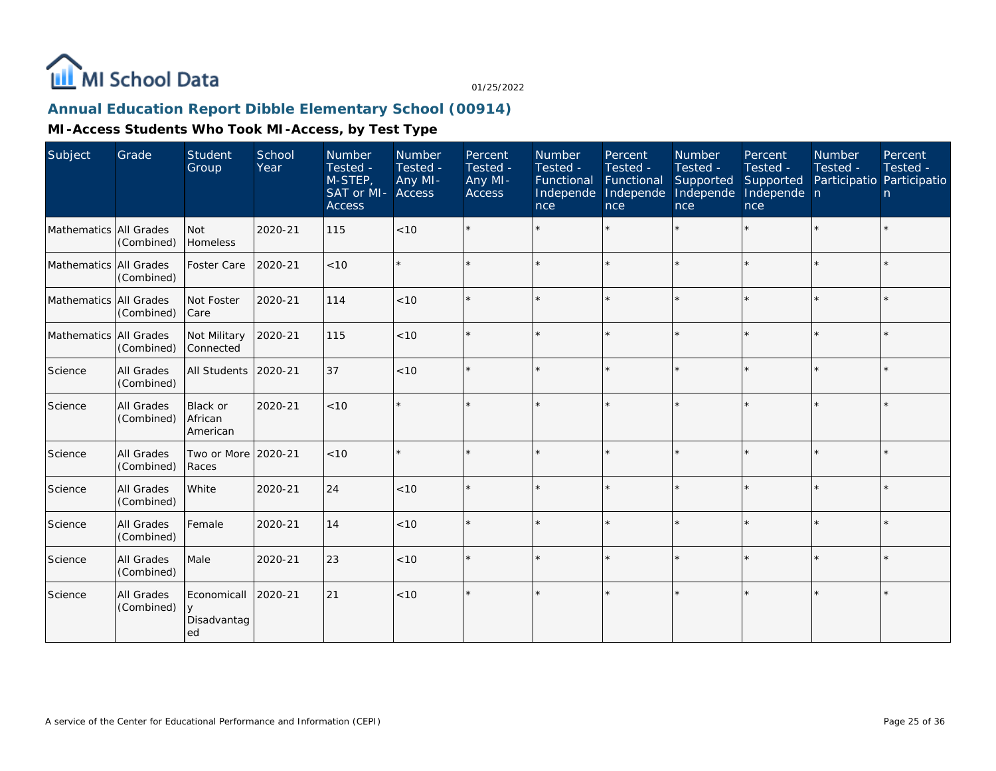

## **Annual Education Report Dibble Elementary School (00914)**

| Subject                | Grade                           | Student<br>Group                 | School<br>Year | Number<br>Tested -<br>M-STEP,<br>SAT or MI- Access<br><b>Access</b> | Number<br>Tested -<br>Any MI- | Percent<br>Tested -<br>Any MI-<br><b>Access</b> | Number<br>Tested -<br>Functional Functional<br>Independe<br>nce | Percent<br>Tested -<br>Independe<br>nce | Number<br>Tested -<br>Supported<br>Independe<br>nce | Percent<br>Tested -<br>Supported<br>Independe n<br>nce | Number<br>Tested -<br>Participatio Participatio | Percent<br>Tested -<br>n. |
|------------------------|---------------------------------|----------------------------------|----------------|---------------------------------------------------------------------|-------------------------------|-------------------------------------------------|-----------------------------------------------------------------|-----------------------------------------|-----------------------------------------------------|--------------------------------------------------------|-------------------------------------------------|---------------------------|
| Mathematics All Grades | (Combined)                      | Not<br>Homeless                  | 2020-21        | 115                                                                 | < 10                          |                                                 |                                                                 |                                         |                                                     | $\star$                                                | $\star$                                         |                           |
| Mathematics All Grades | (Combined)                      | Foster Care                      | 2020-21        | $<10$                                                               |                               |                                                 |                                                                 | $\star$                                 |                                                     | $\star$                                                |                                                 |                           |
| Mathematics All Grades | (Combined)                      | Not Foster<br>Care               | 2020-21        | 114                                                                 | < 10                          | $\star$                                         |                                                                 | $\star$                                 |                                                     | $\star$                                                | $\star$                                         |                           |
| Mathematics All Grades | (Combined)                      | Not Military<br>Connected        | 2020-21        | 115                                                                 | < 10                          |                                                 |                                                                 |                                         |                                                     | ÷,                                                     | ×                                               |                           |
| Science                | All Grades<br>(Combined)        | All Students                     | 2020-21        | 37                                                                  | < 10                          |                                                 |                                                                 | $\star$                                 |                                                     | $\star$                                                | $\star$                                         |                           |
| Science                | <b>All Grades</b><br>(Combined) | Black or<br>African<br>American  | 2020-21        | < 10                                                                |                               |                                                 |                                                                 |                                         |                                                     |                                                        | $\star$                                         |                           |
| Science                | <b>All Grades</b><br>(Combined) | Two or More<br>Races             | 2020-21        | < 10                                                                |                               |                                                 |                                                                 | $\star$                                 |                                                     | $\star$                                                | $\star$                                         | $\star$                   |
| Science                | All Grades<br>(Combined)        | White                            | 2020-21        | 24                                                                  | < 10                          | $\star$                                         | $\star$                                                         | $\star$                                 |                                                     | $\star$                                                | $\star$                                         |                           |
| Science                | All Grades<br>(Combined)        | Female                           | 2020-21        | 14                                                                  | < 10                          |                                                 |                                                                 |                                         |                                                     | $\star$                                                |                                                 |                           |
| Science                | <b>All Grades</b><br>(Combined) | Male                             | 2020-21        | 23                                                                  | < 10                          | $\star$                                         |                                                                 | $\star$                                 |                                                     | $\star$                                                | $\star$                                         | ×                         |
| Science                | All Grades<br>(Combined)        | Economicall<br>Disadvantag<br>ed | 2020-21        | 21                                                                  | < 10                          |                                                 |                                                                 |                                         |                                                     |                                                        |                                                 |                           |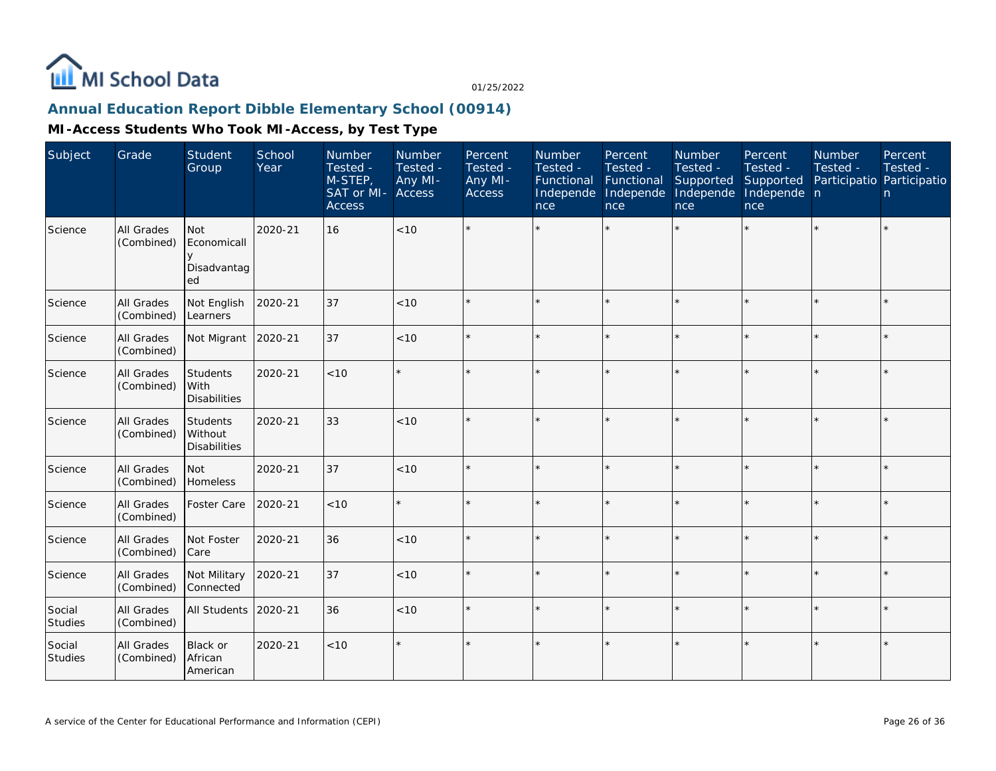

# **Annual Education Report Dibble Elementary School (00914)**

| Subject           | Grade                           | Student<br>Group                               | School<br>Year | Number<br>Tested -<br>M-STEP,<br>SAT or MI-<br><b>Access</b> | Number<br>Tested -<br>Any MI-<br><b>Access</b> | Percent<br>Tested -<br>Any MI-<br><b>Access</b> | <b>Number</b><br>Tested -<br>Functional<br>Independe<br>nce | Percent<br>Tested -<br>Functional<br>Independe<br>nce | <b>Number</b><br>Tested -<br>Supported<br>Independe<br>nce | Percent<br>Tested -<br>Supported<br>Independe n<br>nce | <b>Number</b><br>Tested - | Percent<br>Tested -<br>Participatio Participatio<br>n |
|-------------------|---------------------------------|------------------------------------------------|----------------|--------------------------------------------------------------|------------------------------------------------|-------------------------------------------------|-------------------------------------------------------------|-------------------------------------------------------|------------------------------------------------------------|--------------------------------------------------------|---------------------------|-------------------------------------------------------|
| Science           | All Grades<br>(Combined)        | <b>Not</b><br>Economicall<br>Disadvantag<br>ed | 2020-21        | 16                                                           | $<10$                                          |                                                 |                                                             |                                                       |                                                            | $\star$                                                |                           | $\star$                                               |
| Science           | All Grades<br>(Combined)        | Not English<br>Learners                        | 2020-21        | 37                                                           | < 10                                           |                                                 |                                                             | $\star$                                               |                                                            |                                                        |                           | $\star$                                               |
| Science           | All Grades<br>(Combined)        | Not Migrant                                    | 2020-21        | 37                                                           | < 10                                           |                                                 |                                                             | $\star$                                               |                                                            | ×.                                                     |                           | $\star$                                               |
| Science           | All Grades<br>(Combined)        | Students<br>With<br><b>Disabilities</b>        | 2020-21        | < 10                                                         | $\star$                                        |                                                 |                                                             | $\star$                                               |                                                            |                                                        |                           | $\star$                                               |
| Science           | All Grades<br>(Combined)        | Students<br>Without<br><b>Disabilities</b>     | 2020-21        | 33                                                           | < 10                                           |                                                 |                                                             | $\star$                                               |                                                            | ×.                                                     |                           | $\star$                                               |
| Science           | All Grades<br>(Combined)        | Not<br>Homeless                                | 2020-21        | 37                                                           | < 10                                           |                                                 |                                                             | $\star$                                               |                                                            | $\star$                                                |                           | $\star$                                               |
| Science           | All Grades<br>(Combined)        | Foster Care                                    | 2020-21        | < 10                                                         | $\star$                                        |                                                 |                                                             | $\star$                                               |                                                            | $\star$                                                | $\star$                   | $\star$                                               |
| Science           | All Grades<br>(Combined)        | Not Foster<br>Care                             | 2020-21        | 36                                                           | < 10                                           |                                                 |                                                             |                                                       |                                                            | $\star$                                                |                           | $\star$                                               |
| Science           | All Grades<br>(Combined)        | Not Military<br>Connected                      | 2020-21        | 37                                                           | < 10                                           |                                                 |                                                             | $\star$                                               |                                                            | $\star$                                                |                           | $\star$                                               |
| Social<br>Studies | <b>All Grades</b><br>(Combined) | All Students                                   | 2020-21        | 36                                                           | < 10                                           |                                                 |                                                             | $\star$                                               |                                                            |                                                        |                           | $\star$                                               |
| Social<br>Studies | <b>All Grades</b><br>(Combined) | Black or<br>African<br>American                | 2020-21        | < 10                                                         | $\star$                                        |                                                 |                                                             |                                                       |                                                            |                                                        |                           | $\star$                                               |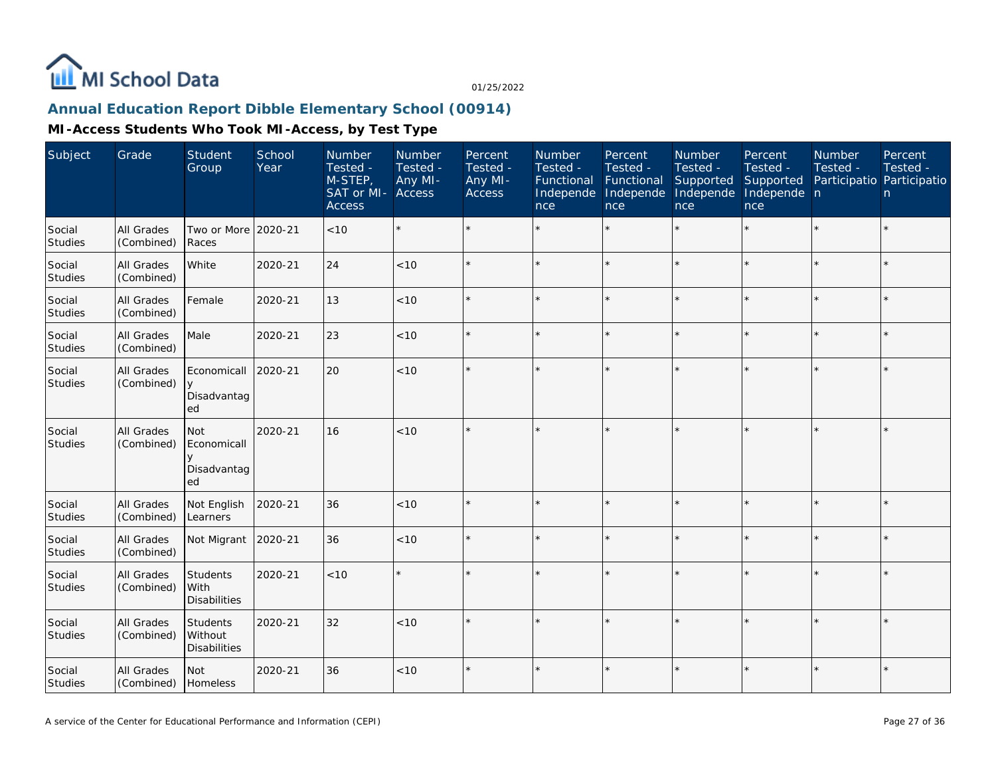

## **Annual Education Report Dibble Elementary School (00914)**

| Subject                  | Grade                           | Student<br>Group                               | School<br>Year | Number<br>Tested -<br>M-STEP,<br>SAT or MI-<br><b>Access</b> | <b>Number</b><br>Tested -<br>Any MI-<br><b>Access</b> | Percent<br>Tested -<br>Any MI-<br>Access | Number<br>Tested -<br>Functional<br>Independe<br>nce | Percent<br>Tested -<br>Functional<br>Independe<br>nce | <b>Number</b><br>Tested -<br>Supported<br>Independe<br>nce | Percent<br>Tested -<br>Supported<br>Independe n<br>nce | <b>Number</b><br>Tested -<br>Participatio Participatio | Percent<br>Tested -<br>n |
|--------------------------|---------------------------------|------------------------------------------------|----------------|--------------------------------------------------------------|-------------------------------------------------------|------------------------------------------|------------------------------------------------------|-------------------------------------------------------|------------------------------------------------------------|--------------------------------------------------------|--------------------------------------------------------|--------------------------|
| Social<br>Studies        | All Grades<br>(Combined)        | Two or More 2020-21<br>Races                   |                | < 10                                                         | $\star$                                               |                                          |                                                      | $\star$                                               | ÷.                                                         |                                                        |                                                        | $\star$                  |
| Social<br><b>Studies</b> | All Grades<br>(Combined)        | White                                          | 2020-21        | 24                                                           | < 10                                                  |                                          |                                                      | $\star$                                               |                                                            | $\star$                                                |                                                        | $\star$                  |
| Social<br>Studies        | All Grades<br>(Combined)        | Female                                         | 2020-21        | 13                                                           | $<10$                                                 |                                          |                                                      | $\star$                                               |                                                            | ×.                                                     |                                                        | $\star$                  |
| Social<br>Studies        | <b>All Grades</b><br>(Combined) | Male                                           | 2020-21        | 23                                                           | < 10                                                  |                                          |                                                      | $\star$                                               |                                                            | ×.                                                     |                                                        | $\star$                  |
| Social<br><b>Studies</b> | All Grades<br>(Combined)        | Economicall<br>Disadvantag<br>ed               | 2020-21        | 20                                                           | < 10                                                  |                                          |                                                      | $\star$                                               |                                                            | $\star$                                                |                                                        | $\star$                  |
| Social<br>Studies        | All Grades<br>(Combined)        | <b>Not</b><br>Economicall<br>Disadvantag<br>ed | 2020-21        | 16                                                           | < 10                                                  |                                          |                                                      | $\star$                                               |                                                            | ×.                                                     |                                                        | $\star$                  |
| Social<br>Studies        | All Grades<br>(Combined)        | Not English<br>Learners                        | 2020-21        | 36                                                           | < 10                                                  |                                          |                                                      | $\star$                                               |                                                            |                                                        |                                                        | $\star$                  |
| Social<br>Studies        | All Grades<br>(Combined)        | Not Migrant                                    | 2020-21        | 36                                                           | < 10                                                  |                                          |                                                      | $\star$                                               |                                                            | ×.                                                     |                                                        | $\star$                  |
| Social<br>Studies        | All Grades<br>(Combined)        | Students<br>With<br><b>Disabilities</b>        | 2020-21        | < 10                                                         | $\star$                                               |                                          |                                                      |                                                       |                                                            | ×.                                                     |                                                        | $\star$                  |
| Social<br>Studies        | All Grades<br>(Combined)        | Students<br>Without<br><b>Disabilities</b>     | 2020-21        | 32                                                           | $<10$                                                 |                                          |                                                      |                                                       |                                                            |                                                        |                                                        | $\star$                  |
| Social<br>Studies        | All Grades<br>(Combined)        | <b>Not</b><br>Homeless                         | 2020-21        | 36                                                           | $<10$                                                 |                                          |                                                      | $\star$                                               |                                                            | $\star$                                                | $\star$                                                | $\star$                  |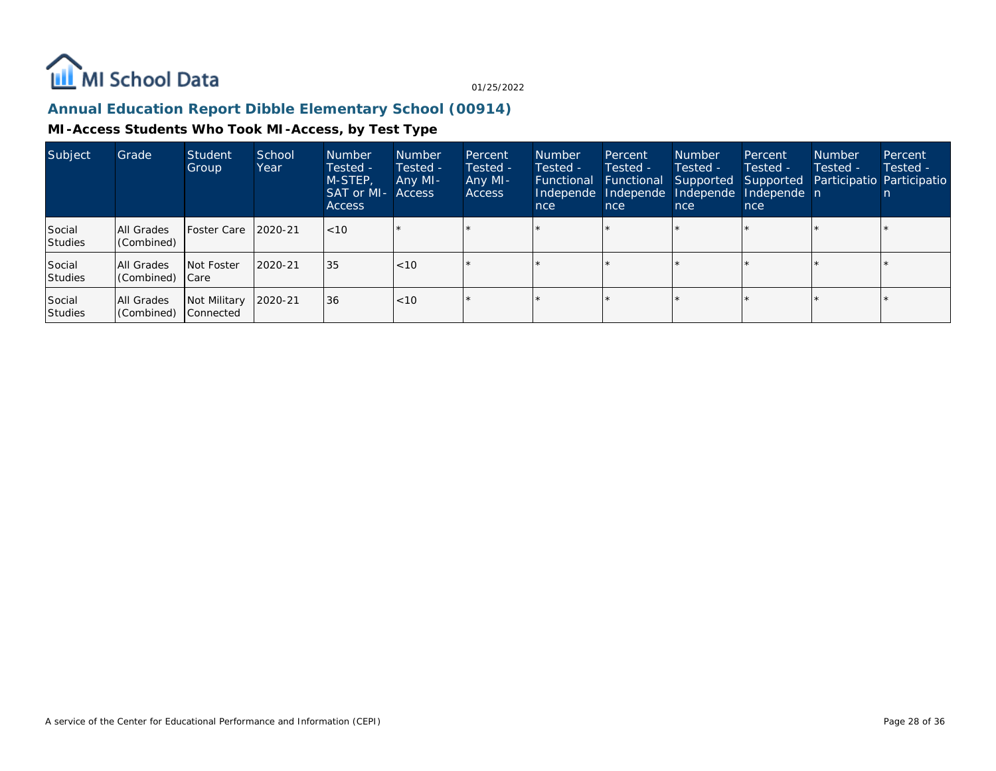

## **Annual Education Report Dibble Elementary School (00914)**

| Subject                  | Grade                        | Student<br>Group          | School<br>Year | <b>Number</b><br>Tested -<br>M-STEP,<br><b>SAT or MI- Access</b><br><b>Access</b> | <b>Number</b><br>Tested -<br>Any MI- | Percent<br>Tested -<br>Any MI-<br>Access | <b>Number</b><br>Tested -<br>Functional<br>Independe<br>nce | Percent<br>Tested -<br>Functional<br>Independe<br>nce | <b>Number</b><br>Tested -<br>Supported<br>Independe<br>nce | Percent<br>Tested -<br>Supported<br>Independe n<br>nce | <b>Number</b><br>Tested - | Percent<br>Tested -<br>Participatio Participatio |
|--------------------------|------------------------------|---------------------------|----------------|-----------------------------------------------------------------------------------|--------------------------------------|------------------------------------------|-------------------------------------------------------------|-------------------------------------------------------|------------------------------------------------------------|--------------------------------------------------------|---------------------------|--------------------------------------------------|
| Social<br><b>Studies</b> | All Grades<br>(Combined)     | <b>IFoster Care</b>       | 2020-21        | $ $ < 10                                                                          |                                      |                                          |                                                             |                                                       |                                                            |                                                        |                           |                                                  |
| Social<br>Studies        | All Grades<br>Combined) Care | <b>Not Foster</b>         | 2020-21        | 35                                                                                | <10                                  |                                          |                                                             |                                                       |                                                            | $\star$                                                |                           |                                                  |
| Social<br>Studies        | All Grades<br>(Combined)     | Not Military<br>Connected | 2020-21        | 36                                                                                | <10                                  |                                          |                                                             |                                                       |                                                            |                                                        |                           |                                                  |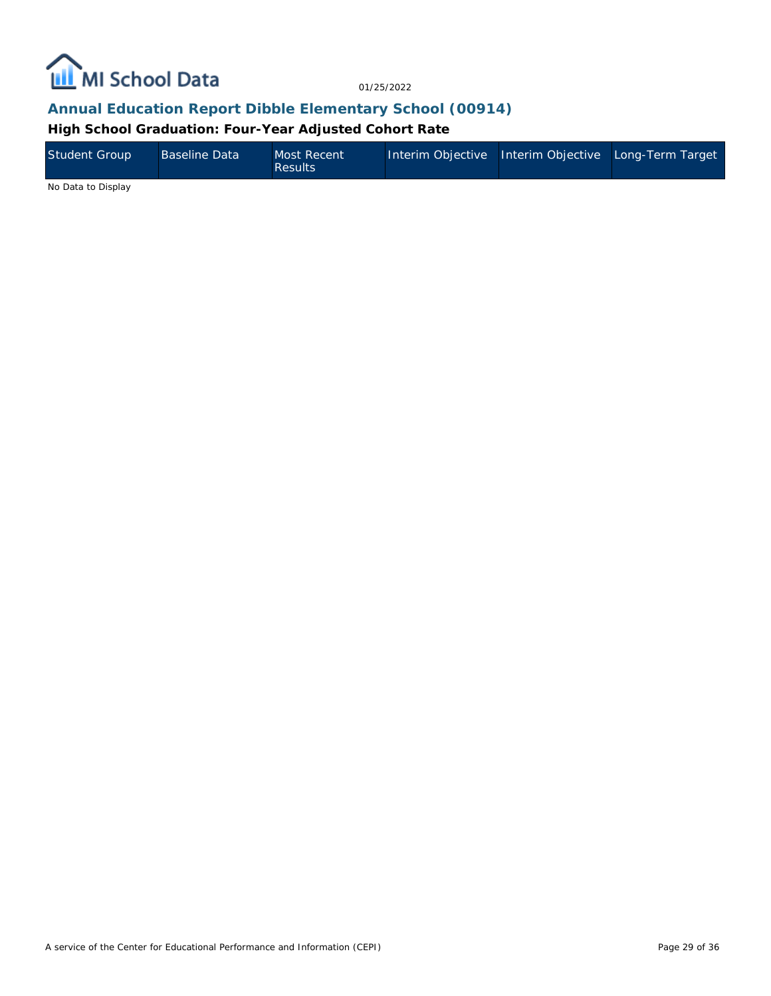

#### **Annual Education Report Dibble Elementary School (00914)**

**High School Graduation: Four-Year Adjusted Cohort Rate**

| Student Group | <b>Baseline Data</b> | Most Recent<br><b>Results</b> | Interim Objective Interim Objective Long-Term Target |  |
|---------------|----------------------|-------------------------------|------------------------------------------------------|--|
| .             |                      |                               |                                                      |  |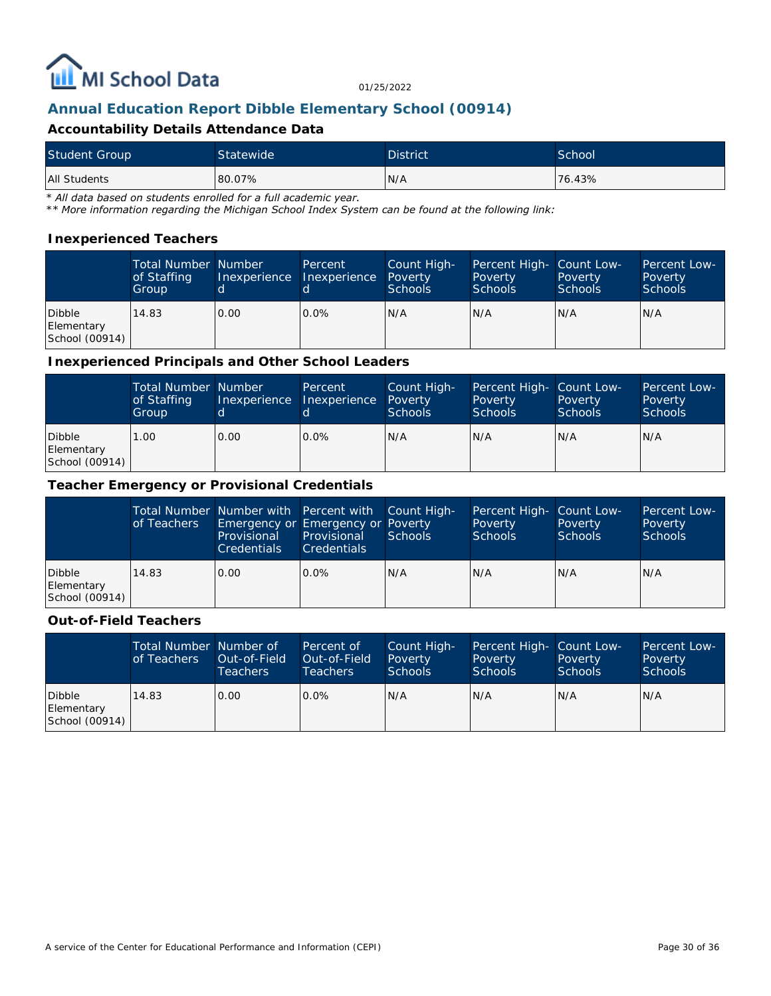

#### **Annual Education Report Dibble Elementary School (00914)**

#### **Accountability Details Attendance Data**

| Student Group | Statewide <sup>1</sup> | <b>District</b> | School |
|---------------|------------------------|-----------------|--------|
| All Students  | 80.07%                 | N/A             | 76.43% |

*\* All data based on students enrolled for a full academic year.*

*\*\* More information regarding the Michigan School Index System can be found at the following link:*

#### **Inexperienced Teachers**

|                                        | <b>Total Number Number</b><br>of Staffing<br>Group | Inexperience | Percent<br>Inexperience | Count High-<br>Poverty<br>Schools | Percent High- Count Low-<br>Poverty<br><b>Schools</b> | Poverty<br><b>Schools</b> | Percent Low-<br>Poverty<br><b>Schools</b> |
|----------------------------------------|----------------------------------------------------|--------------|-------------------------|-----------------------------------|-------------------------------------------------------|---------------------------|-------------------------------------------|
| Dibble<br>Elementary<br>School (00914) | 14.83                                              | 10.00        | $0.0\%$                 | N/A                               | N/A                                                   | IN/A                      | IN/A                                      |

#### **Inexperienced Principals and Other School Leaders**

|                                        | <b>Total Number Number</b><br>of Staffing<br>Group |      | <b>Percent</b><br>Inexperience Inexperience | Count High-<br>Poverty<br><b>Schools</b> | Percent High- Count Low-<br>Poverty<br><b>Schools</b> | Poverty<br><b>Schools</b> | Percent Low-<br>Poverty<br><b>Schools</b> |
|----------------------------------------|----------------------------------------------------|------|---------------------------------------------|------------------------------------------|-------------------------------------------------------|---------------------------|-------------------------------------------|
| Dibble<br>Elementary<br>School (00914) | 0.00                                               | 0.00 | $0.0\%$                                     | N/A                                      | N/A                                                   | N/A                       | IN/A                                      |

#### **Teacher Emergency or Provisional Credentials**

|                                        | of Teachers | Total Number Number with Percent with Count High-<br>Emergency or Emergency or Poverty<br>Provisional<br><b>Credentials</b> | Provisional<br><b>Credentials</b> | Schools | Percent High- Count Low-<br>Poverty<br>Schools | Poverty<br>Schools | Percent Low-<br>Poverty<br>Schools |
|----------------------------------------|-------------|-----------------------------------------------------------------------------------------------------------------------------|-----------------------------------|---------|------------------------------------------------|--------------------|------------------------------------|
| Dibble<br>Elementary<br>School (00914) | 14.83       | 0.00                                                                                                                        | $0.0\%$                           | IN/A    | N/A                                            | N/A                | IN/A                               |

#### **Out-of-Field Teachers**

|                                        | Total Number Number of<br>of Teachers | Out-of-Field<br><b>Teachers</b> | Percent of<br>Out-of-Field<br>Teachers | Count High-<br>Poverty<br>Schools | Percent High- Count Low-<br>Poverty<br><b>Schools</b> | Poverty<br><b>Schools</b> | Percent Low-<br>Poverty<br><b>Schools</b> |
|----------------------------------------|---------------------------------------|---------------------------------|----------------------------------------|-----------------------------------|-------------------------------------------------------|---------------------------|-------------------------------------------|
| Dibble<br>Elementary<br>School (00914) | 14.83                                 | 0.00                            | $0.0\%$                                | N/A                               | N/A                                                   | N/A                       | IN/A                                      |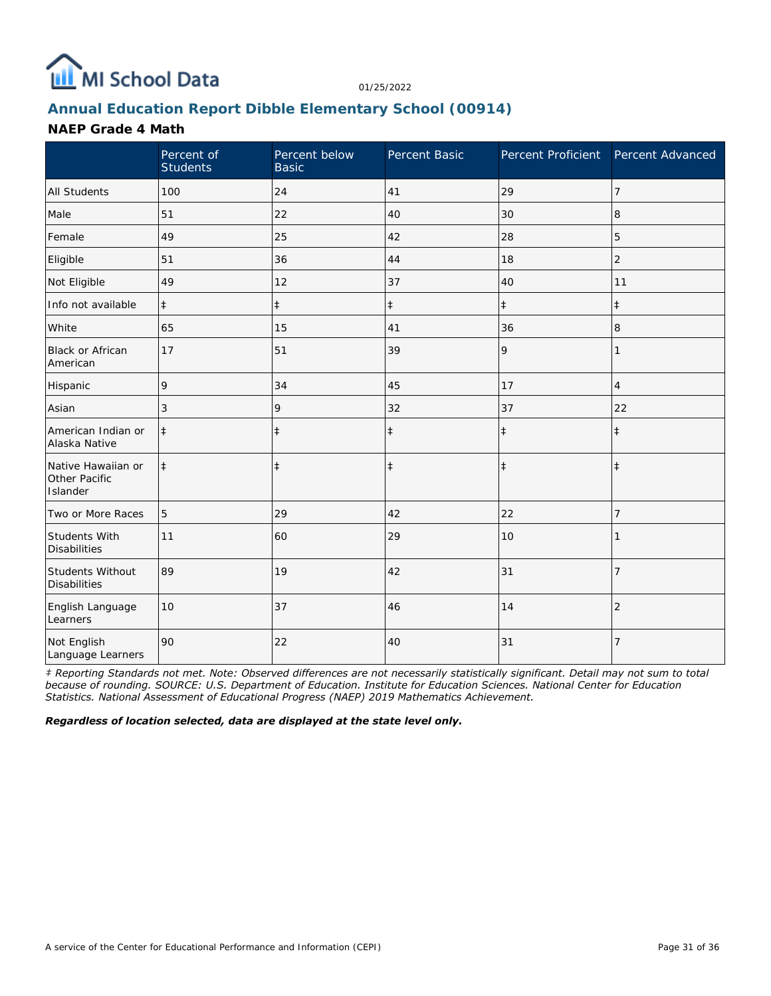

## **Annual Education Report Dibble Elementary School (00914)**

#### **NAEP Grade 4 Math**

|                                                 | Percent of<br><b>Students</b> | Percent below<br><b>Basic</b> | Percent Basic | Percent Proficient Percent Advanced |                |
|-------------------------------------------------|-------------------------------|-------------------------------|---------------|-------------------------------------|----------------|
| <b>All Students</b>                             | 100                           | 24                            | 41            | 29                                  | 7              |
| Male                                            | 51                            | 22                            | 40            | 30                                  | 8              |
| Female                                          | 49                            | 25                            | 42            | 28                                  | 5              |
| Eligible                                        | 51                            | 36                            | 44            | 18                                  | $\overline{2}$ |
| Not Eligible                                    | 49                            | 12                            | 37            | 40                                  | 11             |
| Info not available                              | $\ddagger$                    | $\ddagger$                    | $\ddagger$    | $\ddagger$                          | $\ddagger$     |
| White                                           | 65                            | 15                            | 41            | 36                                  | 8              |
| <b>Black or African</b><br>American             | 17                            | 51                            | 39            | 9                                   | 1              |
| Hispanic                                        | 9                             | 34                            | 45            | 17                                  | 4              |
| Asian                                           | 3                             | 9                             | 32            | 37                                  | 22             |
| American Indian or<br>Alaska Native             | $\ddagger$                    | $\ddagger$                    | $\ddagger$    | $\ddagger$                          | $\ddagger$     |
| Native Hawaiian or<br>Other Pacific<br>Islander | $\ddagger$                    | $\ddagger$                    | $\ddagger$    | $\ddagger$                          | $\ddagger$     |
| Two or More Races                               | 5                             | 29                            | 42            | 22                                  | 7              |
| Students With<br><b>Disabilities</b>            | 11                            | 60                            | 29            | 10                                  |                |
| Students Without<br><b>Disabilities</b>         | 89                            | 19                            | 42            | 31                                  | $\overline{7}$ |
| English Language<br>Learners                    | 10                            | 37                            | 46            | 14                                  | $\overline{2}$ |
| Not English<br>Language Learners                | 90                            | 22                            | 40            | 31                                  | $\overline{7}$ |

*‡ Reporting Standards not met. Note: Observed differences are not necessarily statistically significant. Detail may not sum to total because of rounding. SOURCE: U.S. Department of Education. Institute for Education Sciences. National Center for Education Statistics. National Assessment of Educational Progress (NAEP) 2019 Mathematics Achievement.*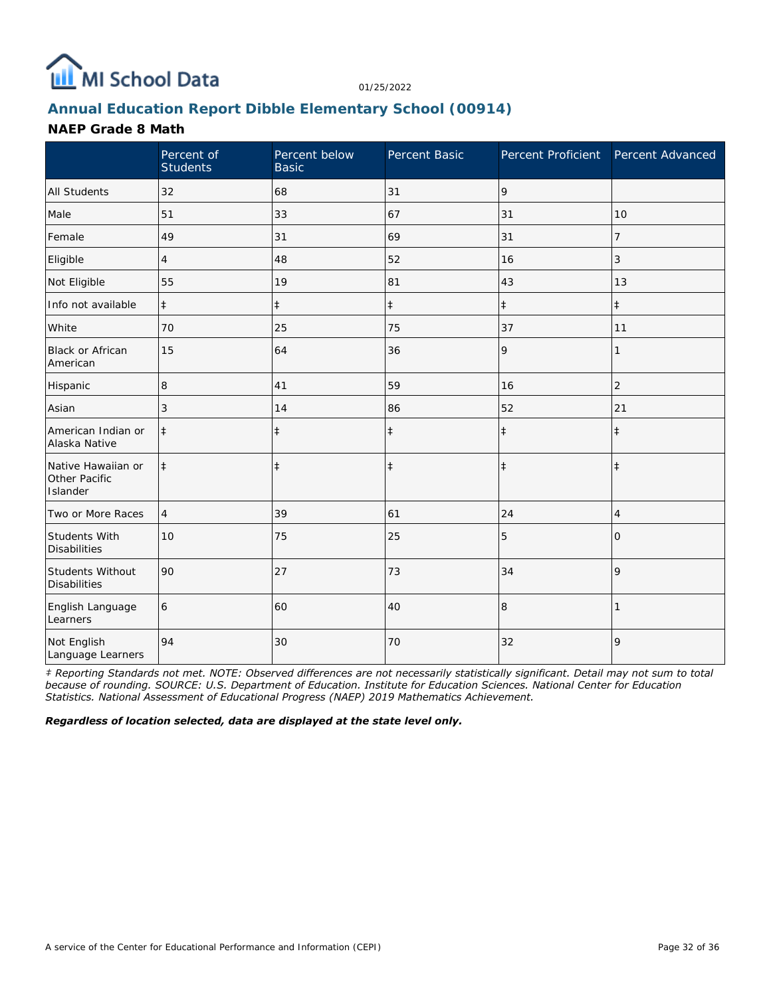

## **Annual Education Report Dibble Elementary School (00914)**

#### **NAEP Grade 8 Math**

|                                                 | Percent of<br><b>Students</b> | Percent below<br><b>Basic</b> | Percent Basic | Percent Proficient Percent Advanced |                |
|-------------------------------------------------|-------------------------------|-------------------------------|---------------|-------------------------------------|----------------|
| <b>All Students</b>                             | 32                            | 68                            | 31            | 9                                   |                |
| Male                                            | 51                            | 33                            | 67            | 31                                  | 10             |
| Female                                          | 49                            | 31                            | 69            | 31                                  | 7              |
| Eligible                                        | 4                             | 48                            | 52            | 16                                  | 3              |
| Not Eligible                                    | 55                            | 19                            | 81            | 43                                  | 13             |
| Info not available                              | $\ddagger$                    | $\ddagger$                    | $\ddagger$    | $\ddagger$                          | $\ddagger$     |
| White                                           | 70                            | 25                            | 75            | 37                                  | 11             |
| <b>Black or African</b><br>American             | 15                            | 64                            | 36            | 9                                   | 1              |
| Hispanic                                        | 8                             | 41                            | 59            | 16                                  | $\overline{2}$ |
| Asian                                           | 3                             | 14                            | 86            | 52                                  | 21             |
| American Indian or<br>Alaska Native             | $\ddagger$                    | $\ddagger$                    | $\ddagger$    | $\ddagger$                          | $\ddagger$     |
| Native Hawaiian or<br>Other Pacific<br>Islander | $\ddagger$                    | $\ddagger$                    | $\ddagger$    | $\ddagger$                          | $\ddagger$     |
| Two or More Races                               | $\overline{4}$                | 39                            | 61            | 24                                  | 4              |
| Students With<br><b>Disabilities</b>            | 10                            | 75                            | 25            | 5                                   | 0              |
| Students Without<br><b>Disabilities</b>         | 90                            | 27                            | 73            | 34                                  | 9              |
| English Language<br>Learners                    | 6                             | 60                            | 40            | 8                                   |                |
| Not English<br>Language Learners                | 94                            | 30                            | 70            | 32                                  | 9              |

*‡ Reporting Standards not met. NOTE: Observed differences are not necessarily statistically significant. Detail may not sum to total because of rounding. SOURCE: U.S. Department of Education. Institute for Education Sciences. National Center for Education Statistics. National Assessment of Educational Progress (NAEP) 2019 Mathematics Achievement.*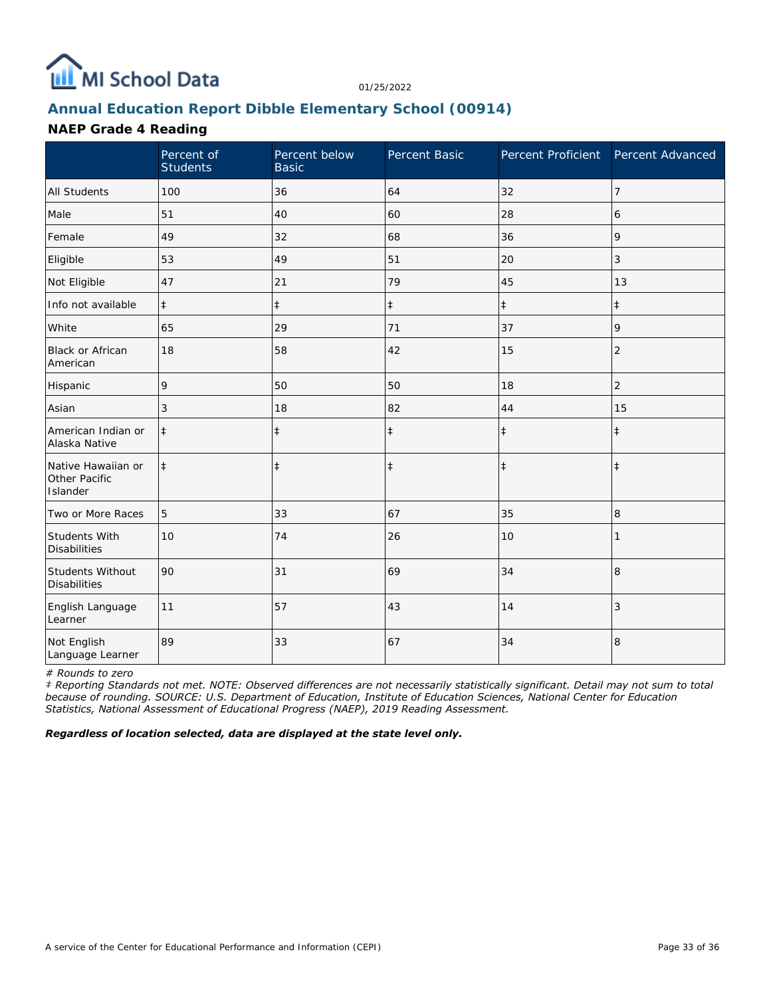

## **Annual Education Report Dibble Elementary School (00914)**

#### **NAEP Grade 4 Reading**

|                                                 | Percent of<br><b>Students</b> | Percent below<br><b>Basic</b> | Percent Basic | Percent Proficient Percent Advanced |                |
|-------------------------------------------------|-------------------------------|-------------------------------|---------------|-------------------------------------|----------------|
| <b>All Students</b>                             | 100                           | 36                            | 64            | 32                                  | $\overline{7}$ |
| Male                                            | 51                            | 40                            | 60            | 28                                  | 6              |
| Female                                          | 49                            | 32                            | 68            | 36                                  | 9              |
| Eligible                                        | 53                            | 49                            | 51            | 20                                  | 3              |
| Not Eligible                                    | 47                            | 21                            | 79            | 45                                  | 13             |
| Info not available                              | $\ddagger$                    | $\ddagger$                    | $\ddagger$    | $\ddagger$                          | $\ddagger$     |
| White                                           | 65                            | 29                            | 71            | 37                                  | 9              |
| Black or African<br>American                    | 18                            | 58                            | 42            | 15                                  | $\overline{2}$ |
| Hispanic                                        | 9                             | 50                            | 50            | 18                                  | 2              |
| Asian                                           | 3                             | 18                            | 82            | 44                                  | 15             |
| American Indian or<br>Alaska Native             | $\ddagger$                    | $\ddagger$                    | $\ddagger$    | $\ddagger$                          | $\ddagger$     |
| Native Hawaiian or<br>Other Pacific<br>Islander | $\ddagger$                    | $\ddagger$                    | $\ddagger$    | $\ddagger$                          | $\ddagger$     |
| Two or More Races                               | 5                             | 33                            | 67            | 35                                  | 8              |
| <b>Students With</b><br><b>Disabilities</b>     | 10                            | 74                            | 26            | 10                                  |                |
| Students Without<br><b>Disabilities</b>         | 90                            | 31                            | 69            | 34                                  | 8              |
| English Language<br>Learner                     | 11                            | 57                            | 43            | 14                                  | 3              |
| Not English<br>Language Learner                 | 89                            | 33                            | 67            | 34                                  | 8              |

*# Rounds to zero*

*‡ Reporting Standards not met. NOTE: Observed differences are not necessarily statistically significant. Detail may not sum to total because of rounding. SOURCE: U.S. Department of Education, Institute of Education Sciences, National Center for Education Statistics, National Assessment of Educational Progress (NAEP), 2019 Reading Assessment.*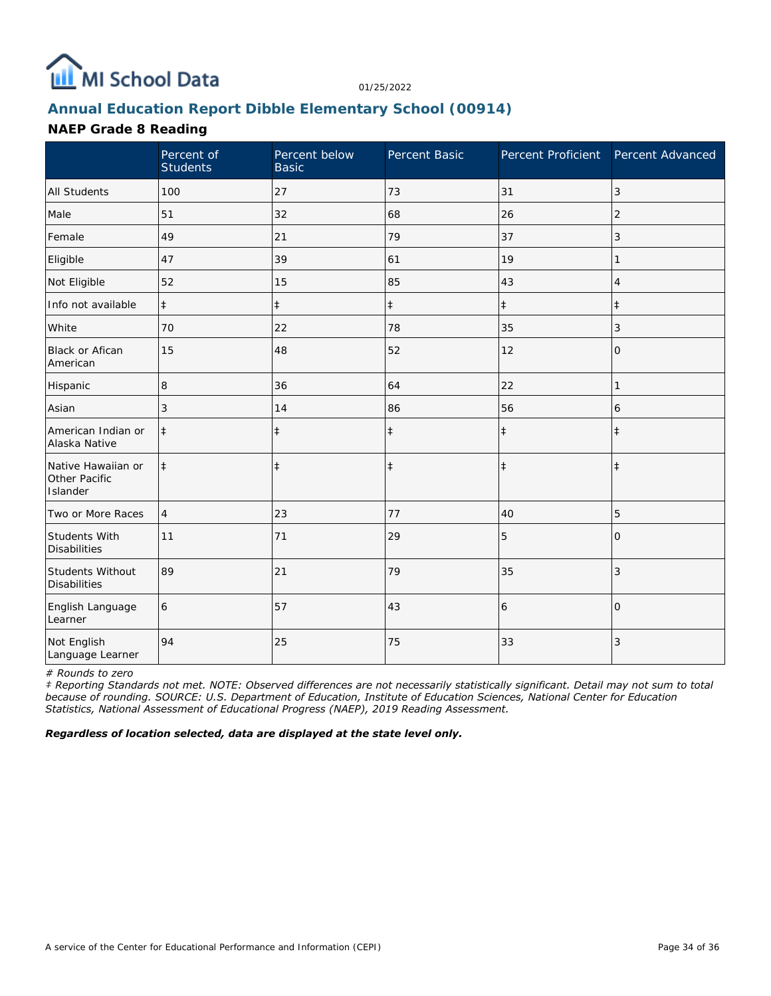

## **Annual Education Report Dibble Elementary School (00914)**

#### **NAEP Grade 8 Reading**

|                                                 | Percent of<br><b>Students</b> | Percent below<br><b>Basic</b> | Percent Basic | Percent Proficient Percent Advanced |                |
|-------------------------------------------------|-------------------------------|-------------------------------|---------------|-------------------------------------|----------------|
| <b>All Students</b>                             | 100                           | 27                            | 73            | 31                                  | 3              |
| Male                                            | 51                            | 32                            | 68            | 26                                  | $\overline{2}$ |
| Female                                          | 49                            | 21                            | 79            | 37                                  | 3              |
| Eligible                                        | 47                            | 39                            | 61            | 19                                  |                |
| Not Eligible                                    | 52                            | 15                            | 85            | 43                                  | 4              |
| Info not available                              | $\ddagger$                    | $\ddagger$                    | $\ddagger$    | $\ddagger$                          | $\pm$          |
| White                                           | 70                            | 22                            | 78            | 35                                  | 3              |
| <b>Black or Afican</b><br>American              | 15                            | 48                            | 52            | 12                                  | 0              |
| Hispanic                                        | 8                             | 36                            | 64            | 22                                  | 1              |
| Asian                                           | 3                             | 14                            | 86            | 56                                  | 6              |
| American Indian or<br>Alaska Native             | $\ddagger$                    | $\ddagger$                    | $\ddagger$    | $\ddagger$                          | $\ddagger$     |
| Native Hawaiian or<br>Other Pacific<br>Islander | $\ddagger$                    | $\ddagger$                    | $\ddagger$    | $\ddagger$                          | $\ddagger$     |
| Two or More Races                               | 4                             | 23                            | 77            | 40                                  | 5              |
| <b>Students With</b><br><b>Disabilities</b>     | 11                            | 71                            | 29            | 5                                   | $\Omega$       |
| Students Without<br><b>Disabilities</b>         | 89                            | 21                            | 79            | 35                                  | 3              |
| English Language<br>Learner                     | 6                             | 57                            | 43            | 6                                   | $\Omega$       |
| Not English<br>Language Learner                 | 94                            | 25                            | 75            | 33                                  | 3              |

*# Rounds to zero*

*‡ Reporting Standards not met. NOTE: Observed differences are not necessarily statistically significant. Detail may not sum to total because of rounding. SOURCE: U.S. Department of Education, Institute of Education Sciences, National Center for Education Statistics, National Assessment of Educational Progress (NAEP), 2019 Reading Assessment.*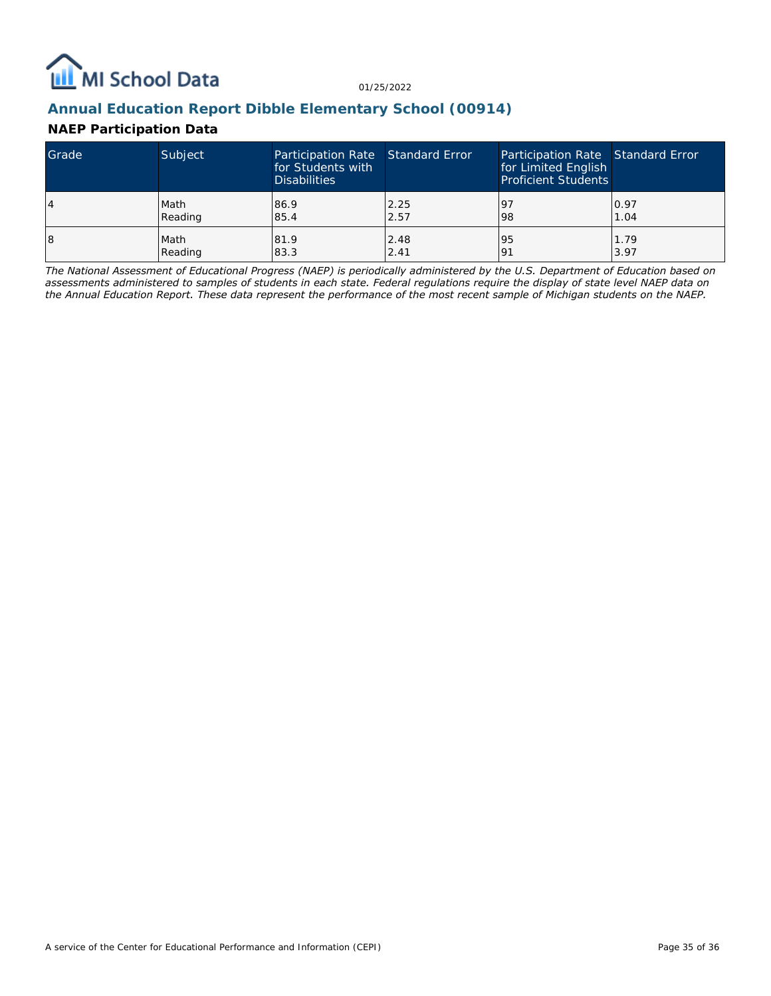

#### **Annual Education Report Dibble Elementary School (00914)**

#### **NAEP Participation Data**

| Grade | Subject | Participation Rate Standard Error<br>for Students with<br><b>Disabilities</b> |      | Participation Rate Standard Error<br>for Limited English<br><b>Proficient Students</b> |      |
|-------|---------|-------------------------------------------------------------------------------|------|----------------------------------------------------------------------------------------|------|
| 4     | Math    | 86.9                                                                          | 2.25 | 97                                                                                     | 0.97 |
|       | Reading | 85.4                                                                          | 2.57 | 98                                                                                     | 1.04 |
| 18    | Math    | 81.9                                                                          | 2.48 | 95                                                                                     | 1.79 |
|       | Reading | 83.3                                                                          | 2.41 | 191                                                                                    | 3.97 |

*The National Assessment of Educational Progress (NAEP) is periodically administered by the U.S. Department of Education based on assessments administered to samples of students in each state. Federal regulations require the display of state level NAEP data on the Annual Education Report. These data represent the performance of the most recent sample of Michigan students on the NAEP.*